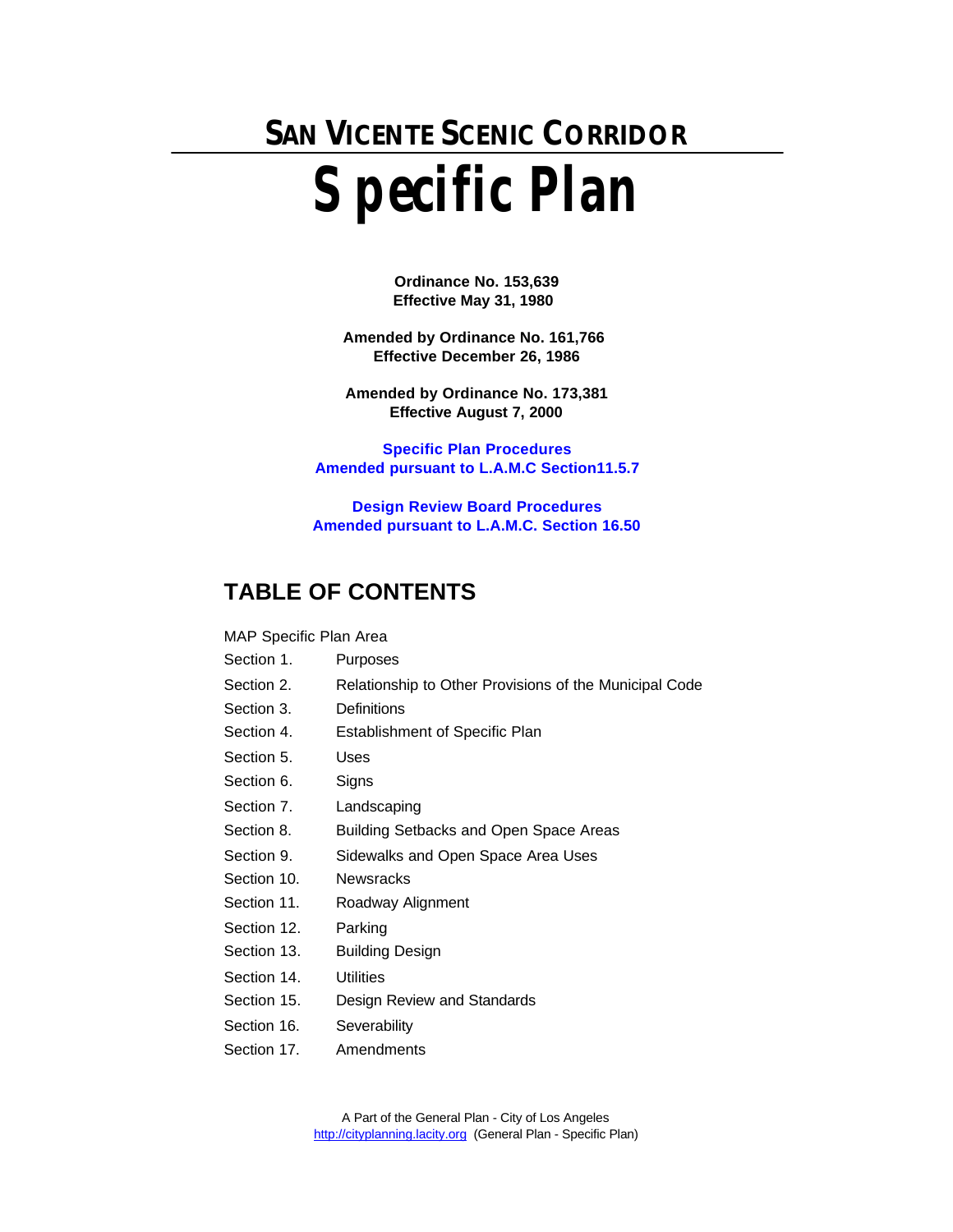# **SAN VICENTE SCENIC CORRIDOR Specific Plan**

**Ordinance No. 153,639 Effective May 31, 1980** 

**Amended by Ordinance No. 161,766 Effective December 26, 1986**

**Amended by Ordinance No. 173,381 Effective August 7, 2000**

**Specific Plan Procedures [Amended pursuant to L.A.M.C Section11.5.7](../SPOrdinance.pdf)**

**Design Review Board Procedures [Amended pursuant to L.A.M.C. Section 16.50](../DRBOrdinance.pdf)**

# **TABLE OF CONTENTS**

### MAP Specific Plan Area

- Section 1. Purposes
- Section 2. Relationship to Other Provisions of the Municipal Code
- Section 3. Definitions
- Section 4. Establishment of Specific Plan
- Section 5. Uses
- Section 6. Signs
- Section 7. Landscaping
- Section 8. Building Setbacks and Open Space Areas
- Section 9. Sidewalks and Open Space Area Uses
- Section 10. Newsracks
- Section 11. Roadway Alignment
- Section 12. Parking
- Section 13. Building Design
- Section 14. Utilities
- Section 15. Design Review and Standards
- Section 16. Severability
- Section 17. Amendments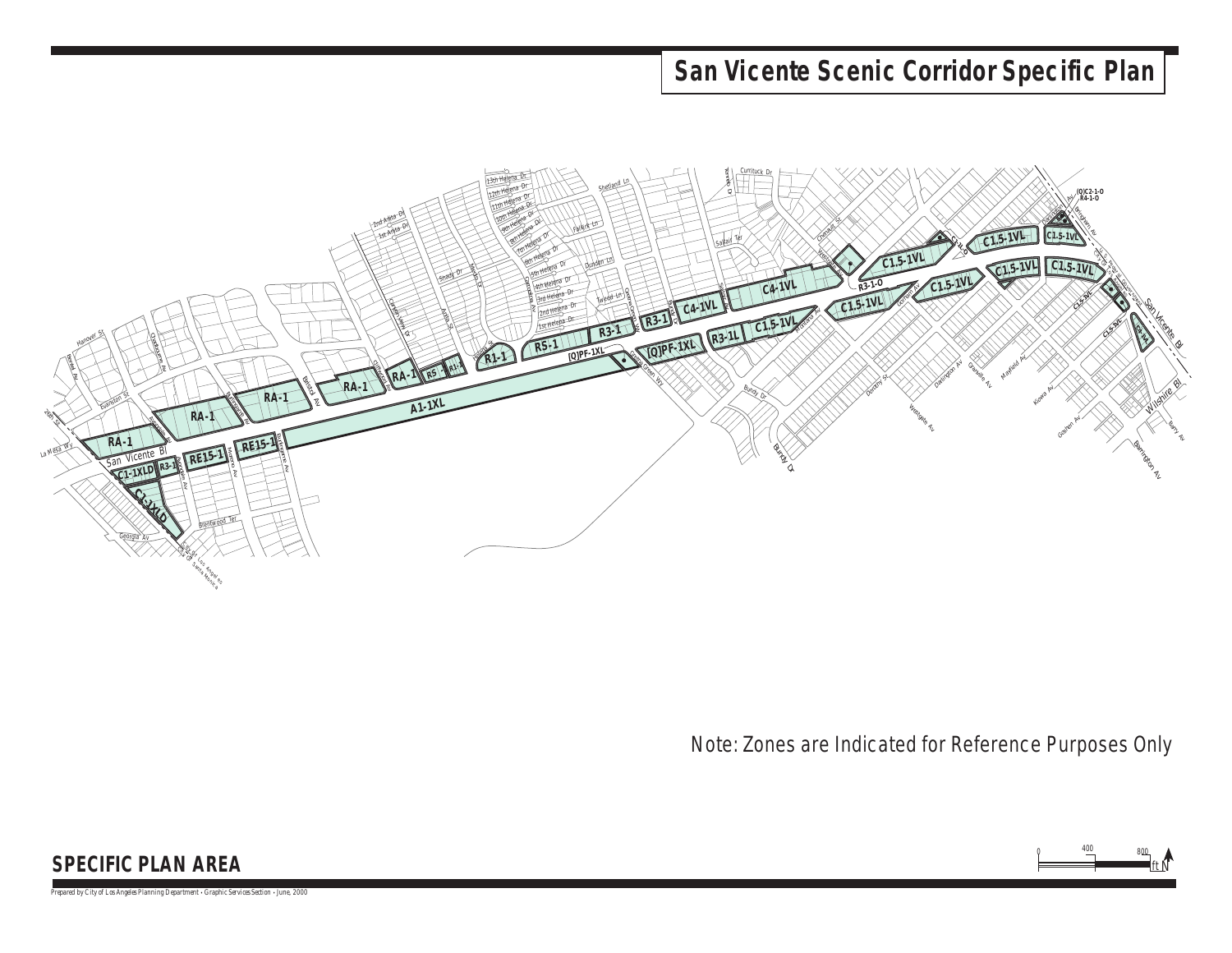# **San Vicente Scenic Corridor Specific Plan**



Note: Zones are Indicated for Reference Purposes Only

ft

N

 $400 \overline{\phantom{0}}$  800

0

## **SPECIFIC PLAN AREA**

*Prepared by City of Los Angeles Planning Department • Graphic Services Section • June, 2000*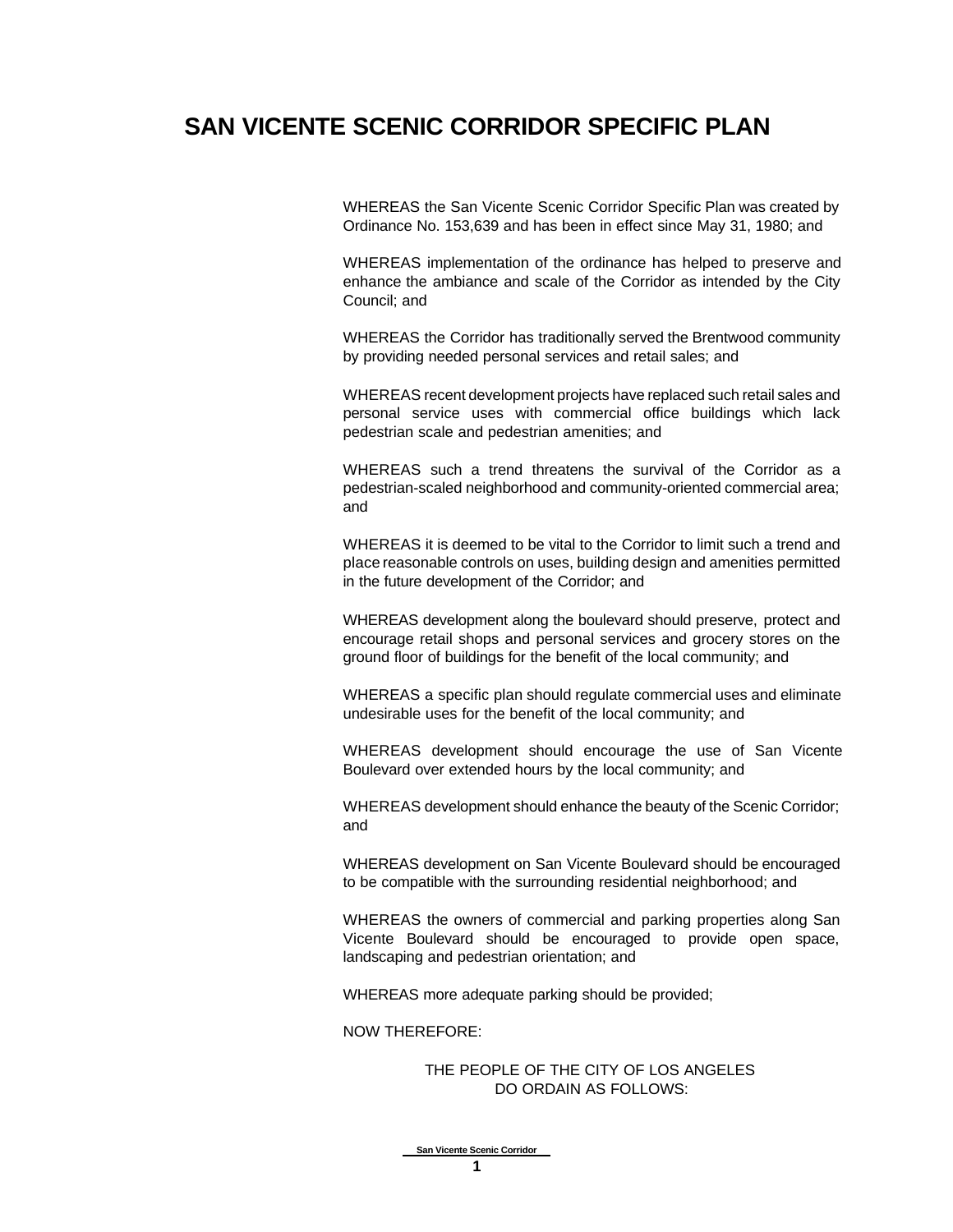# **SAN VICENTE SCENIC CORRIDOR SPECIFIC PLAN**

WHEREAS the San Vicente Scenic Corridor Specific Plan was created by Ordinance No. 153,639 and has been in effect since May 31, 1980; and

WHEREAS implementation of the ordinance has helped to preserve and enhance the ambiance and scale of the Corridor as intended by the City Council; and

WHEREAS the Corridor has traditionally served the Brentwood community by providing needed personal services and retail sales; and

WHEREAS recent development projects have replaced such retail sales and personal service uses with commercial office buildings which lack pedestrian scale and pedestrian amenities; and

WHEREAS such a trend threatens the survival of the Corridor as a pedestrian-scaled neighborhood and community-oriented commercial area; and

WHEREAS it is deemed to be vital to the Corridor to limit such a trend and place reasonable controls on uses, building design and amenities permitted in the future development of the Corridor; and

WHEREAS development along the boulevard should preserve, protect and encourage retail shops and personal services and grocery stores on the ground floor of buildings for the benefit of the local community; and

WHEREAS a specific plan should regulate commercial uses and eliminate undesirable uses for the benefit of the local community; and

WHEREAS development should encourage the use of San Vicente Boulevard over extended hours by the local community; and

WHEREAS development should enhance the beauty of the Scenic Corridor; and

WHEREAS development on San Vicente Boulevard should be encouraged to be compatible with the surrounding residential neighborhood; and

WHEREAS the owners of commercial and parking properties along San Vicente Boulevard should be encouraged to provide open space, landscaping and pedestrian orientation; and

WHEREAS more adequate parking should be provided;

NOW THEREFORE:

### THE PEOPLE OF THE CITY OF LOS ANGELES DO ORDAIN AS FOLLOWS: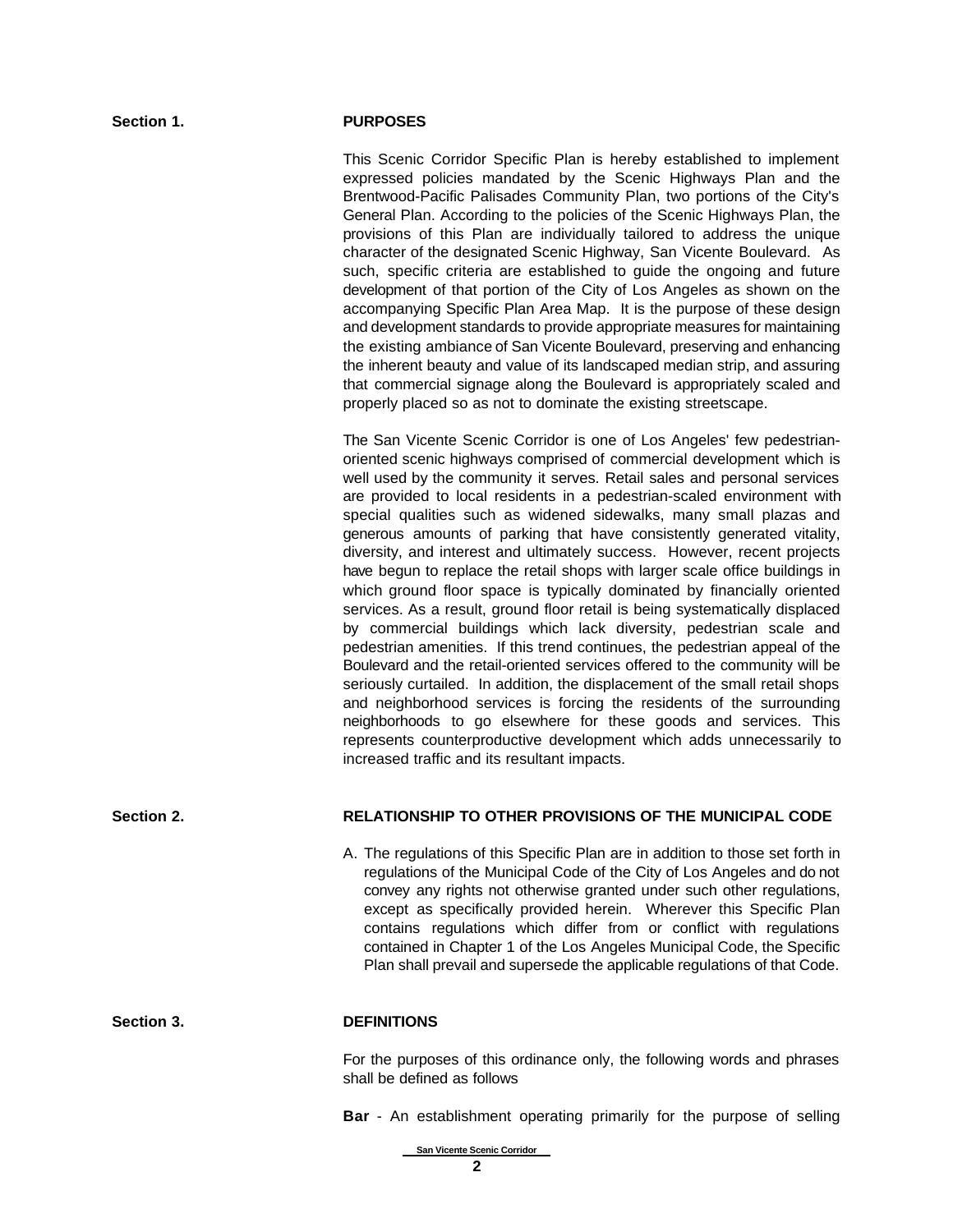### **Section 1. PURPOSES**

This Scenic Corridor Specific Plan is hereby established to implement expressed policies mandated by the Scenic Highways Plan and the Brentwood-Pacific Palisades Community Plan, two portions of the City's General Plan. According to the policies of the Scenic Highways Plan, the provisions of this Plan are individually tailored to address the unique character of the designated Scenic Highway, San Vicente Boulevard. As such, specific criteria are established to guide the ongoing and future development of that portion of the City of Los Angeles as shown on the accompanying Specific Plan Area Map. It is the purpose of these design and development standards to provide appropriate measures for maintaining the existing ambiance of San Vicente Boulevard, preserving and enhancing the inherent beauty and value of its landscaped median strip, and assuring that commercial signage along the Boulevard is appropriately scaled and properly placed so as not to dominate the existing streetscape.

The San Vicente Scenic Corridor is one of Los Angeles' few pedestrianoriented scenic highways comprised of commercial development which is well used by the community it serves. Retail sales and personal services are provided to local residents in a pedestrian-scaled environment with special qualities such as widened sidewalks, many small plazas and generous amounts of parking that have consistently generated vitality, diversity, and interest and ultimately success. However, recent projects have begun to replace the retail shops with larger scale office buildings in which ground floor space is typically dominated by financially oriented services. As a result, ground floor retail is being systematically displaced by commercial buildings which lack diversity, pedestrian scale and pedestrian amenities. If this trend continues, the pedestrian appeal of the Boulevard and the retail-oriented services offered to the community will be seriously curtailed. In addition, the displacement of the small retail shops and neighborhood services is forcing the residents of the surrounding neighborhoods to go elsewhere for these goods and services. This represents counterproductive development which adds unnecessarily to increased traffic and its resultant impacts.

### **Section 2. RELATIONSHIP TO OTHER PROVISIONS OF THE MUNICIPAL CODE**

A. The regulations of this Specific Plan are in addition to those set forth in regulations of the Municipal Code of the City of Los Angeles and do not convey any rights not otherwise granted under such other regulations, except as specifically provided herein. Wherever this Specific Plan contains regulations which differ from or conflict with regulations contained in Chapter 1 of the Los Angeles Municipal Code, the Specific Plan shall prevail and supersede the applicable regulations of that Code.

### **Section 3. DEFINITIONS**

For the purposes of this ordinance only, the following words and phrases shall be defined as follows

**Bar** - An establishment operating primarily for the purpose of selling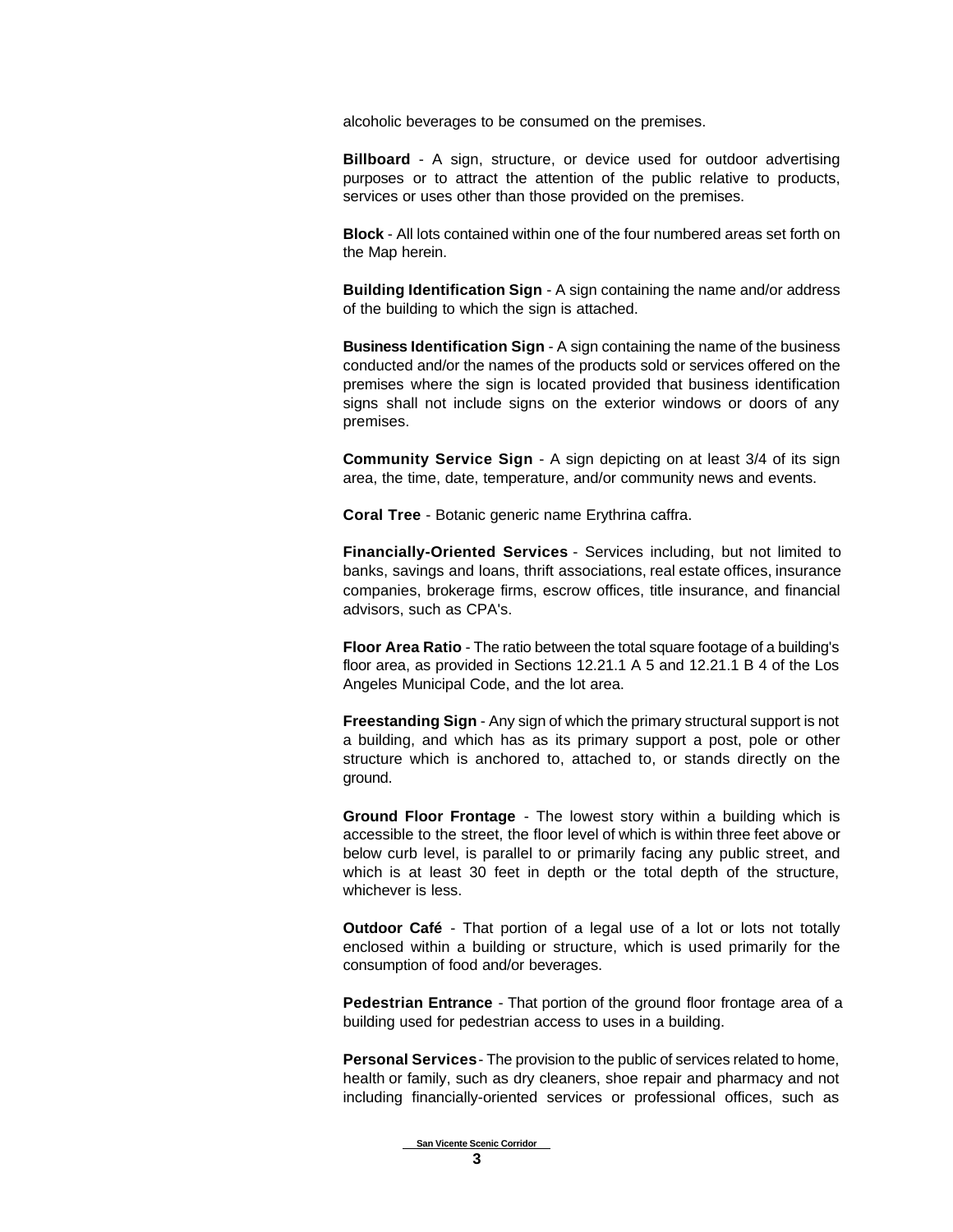alcoholic beverages to be consumed on the premises.

**Billboard** - A sign, structure, or device used for outdoor advertising purposes or to attract the attention of the public relative to products, services or uses other than those provided on the premises.

**Block** - All lots contained within one of the four numbered areas set forth on the Map herein.

**Building Identification Sign** - A sign containing the name and/or address of the building to which the sign is attached.

**Business Identification Sign** - A sign containing the name of the business conducted and/or the names of the products sold or services offered on the premises where the sign is located provided that business identification signs shall not include signs on the exterior windows or doors of any premises.

**Community Service Sign** - A sign depicting on at least 3/4 of its sign area, the time, date, temperature, and/or community news and events.

**Coral Tree** - Botanic generic name Erythrina caffra.

**Financially-Oriented Services** - Services including, but not limited to banks, savings and loans, thrift associations, real estate offices, insurance companies, brokerage firms, escrow offices, title insurance, and financial advisors, such as CPA's.

**Floor Area Ratio** - The ratio between the total square footage of a building's floor area, as provided in Sections 12.21.1 A 5 and 12.21.1 B 4 of the Los Angeles Municipal Code, and the lot area.

**Freestanding Sign** - Any sign of which the primary structural support is not a building, and which has as its primary support a post, pole or other structure which is anchored to, attached to, or stands directly on the ground.

**Ground Floor Frontage** - The lowest story within a building which is accessible to the street, the floor level of which is within three feet above or below curb level, is parallel to or primarily facing any public street, and which is at least 30 feet in depth or the total depth of the structure, whichever is less.

**Outdoor Café** - That portion of a legal use of a lot or lots not totally enclosed within a building or structure, which is used primarily for the consumption of food and/or beverages.

**Pedestrian Entrance** - That portion of the ground floor frontage area of a building used for pedestrian access to uses in a building.

**Personal Services** - The provision to the public of services related to home, health or family, such as dry cleaners, shoe repair and pharmacy and not including financially-oriented services or professional offices, such as

 **San Vicente Scenic Corridor**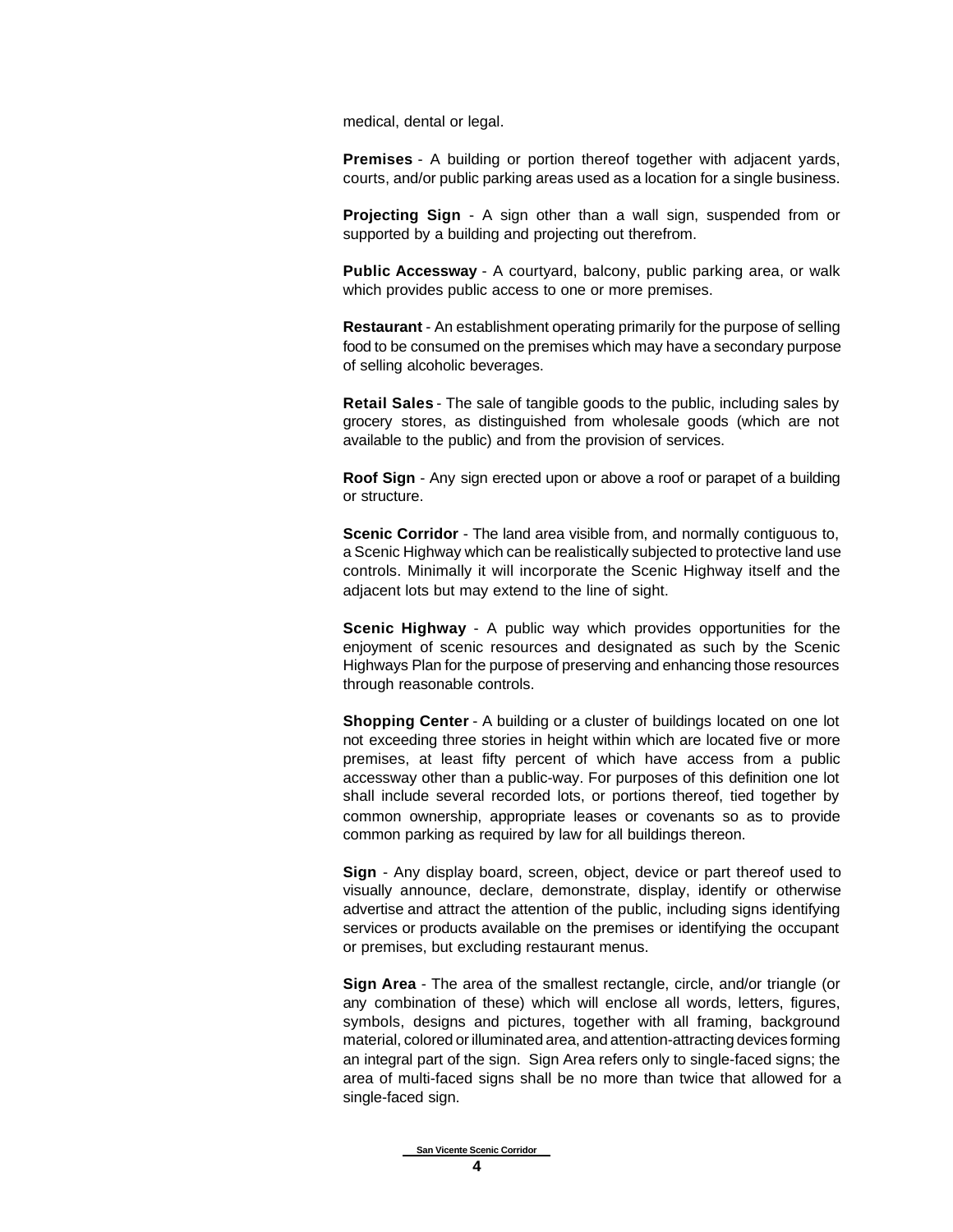medical, dental or legal.

**Premises** - A building or portion thereof together with adjacent yards, courts, and/or public parking areas used as a location for a single business.

**Projecting Sign** - A sign other than a wall sign, suspended from or supported by a building and projecting out therefrom.

**Public Accessway** - A courtyard, balcony, public parking area, or walk which provides public access to one or more premises.

**Restaurant** - An establishment operating primarily for the purpose of selling food to be consumed on the premises which may have a secondary purpose of selling alcoholic beverages.

**Retail Sales** - The sale of tangible goods to the public, including sales by grocery stores, as distinguished from wholesale goods (which are not available to the public) and from the provision of services.

**Roof Sign** - Any sign erected upon or above a roof or parapet of a building or structure.

**Scenic Corridor** - The land area visible from, and normally contiguous to, a Scenic Highway which can be realistically subjected to protective land use controls. Minimally it will incorporate the Scenic Highway itself and the adjacent lots but may extend to the line of sight.

**Scenic Highway** - A public way which provides opportunities for the enjoyment of scenic resources and designated as such by the Scenic Highways Plan for the purpose of preserving and enhancing those resources through reasonable controls.

**Shopping Center** - A building or a cluster of buildings located on one lot not exceeding three stories in height within which are located five or more premises, at least fifty percent of which have access from a public accessway other than a public-way. For purposes of this definition one lot shall include several recorded lots, or portions thereof, tied together by common ownership, appropriate leases or covenants so as to provide common parking as required by law for all buildings thereon.

**Sign** - Any display board, screen, object, device or part thereof used to visually announce, declare, demonstrate, display, identify or otherwise advertise and attract the attention of the public, including signs identifying services or products available on the premises or identifying the occupant or premises, but excluding restaurant menus.

**Sign Area** - The area of the smallest rectangle, circle, and/or triangle (or any combination of these) which will enclose all words, letters, figures, symbols, designs and pictures, together with all framing, background material, colored or illuminated area, and attention-attracting devices forming an integral part of the sign. Sign Area refers only to single-faced signs; the area of multi-faced signs shall be no more than twice that allowed for a single-faced sign.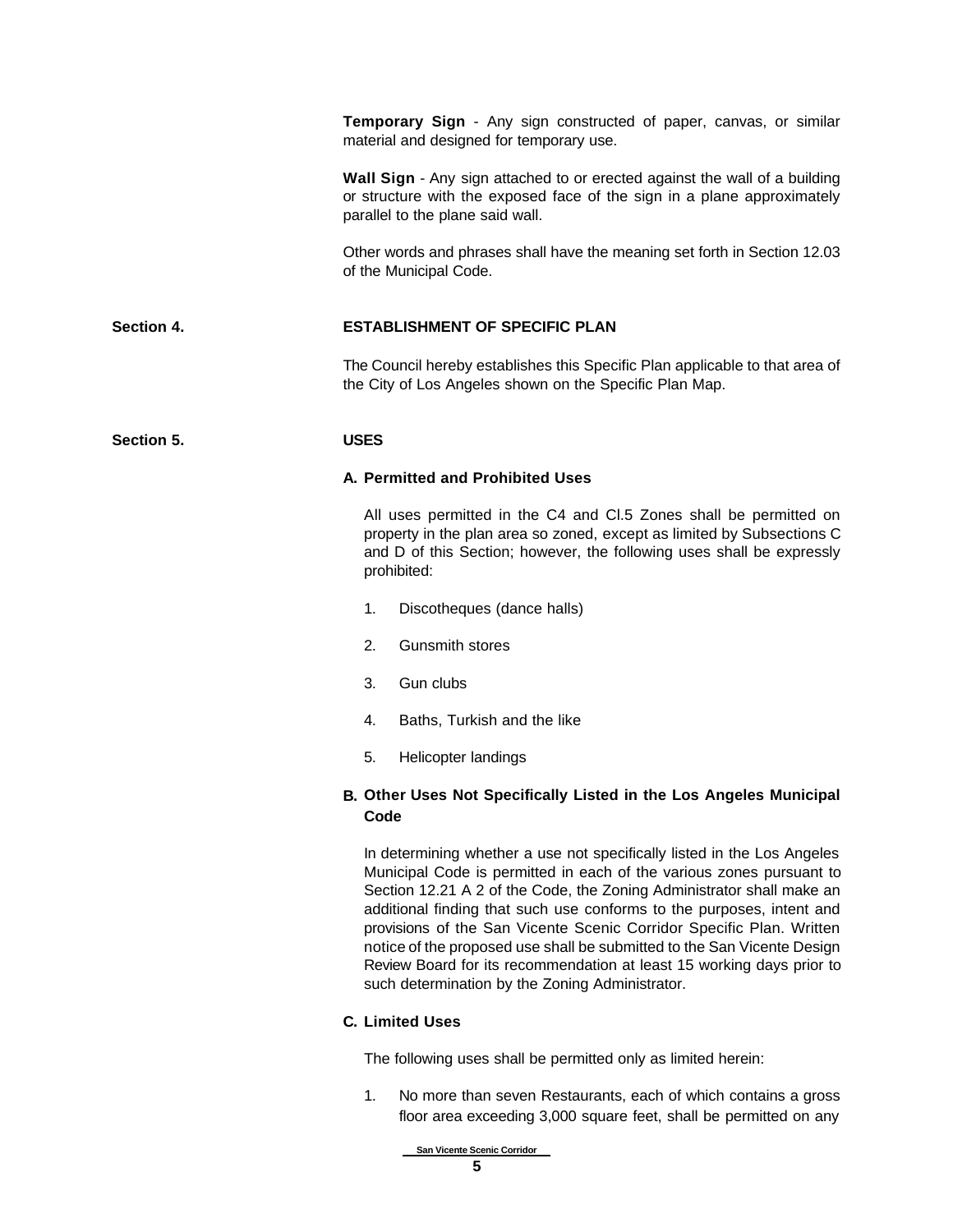**Temporary Sign** - Any sign constructed of paper, canvas, or similar material and designed for temporary use.

**Wall Sign** - Any sign attached to or erected against the wall of a building or structure with the exposed face of the sign in a plane approximately parallel to the plane said wall.

Other words and phrases shall have the meaning set forth in Section 12.03 of the Municipal Code.

### **Section 4. ESTABLISHMENT OF SPECIFIC PLAN**

The Council hereby establishes this Specific Plan applicable to that area of the City of Los Angeles shown on the Specific Plan Map.

### **Section 5. USES**

### **A. Permitted and Prohibited Uses**

All uses permitted in the C4 and Cl.5 Zones shall be permitted on property in the plan area so zoned, except as limited by Subsections C and D of this Section; however, the following uses shall be expressly prohibited:

- 1. Discotheques (dance halls)
- 2. Gunsmith stores
- 3. Gun clubs
- 4. Baths, Turkish and the like
- 5. Helicopter landings

### **B. Other Uses Not Specifically Listed in the Los Angeles Municipal Code**

In determining whether a use not specifically listed in the Los Angeles Municipal Code is permitted in each of the various zones pursuant to Section 12.21 A 2 of the Code, the Zoning Administrator shall make an additional finding that such use conforms to the purposes, intent and provisions of the San Vicente Scenic Corridor Specific Plan. Written notice of the proposed use shall be submitted to the San Vicente Design Review Board for its recommendation at least 15 working days prior to such determination by the Zoning Administrator.

### **C. Limited Uses**

The following uses shall be permitted only as limited herein:

1. No more than seven Restaurants, each of which contains a gross floor area exceeding 3,000 square feet, shall be permitted on any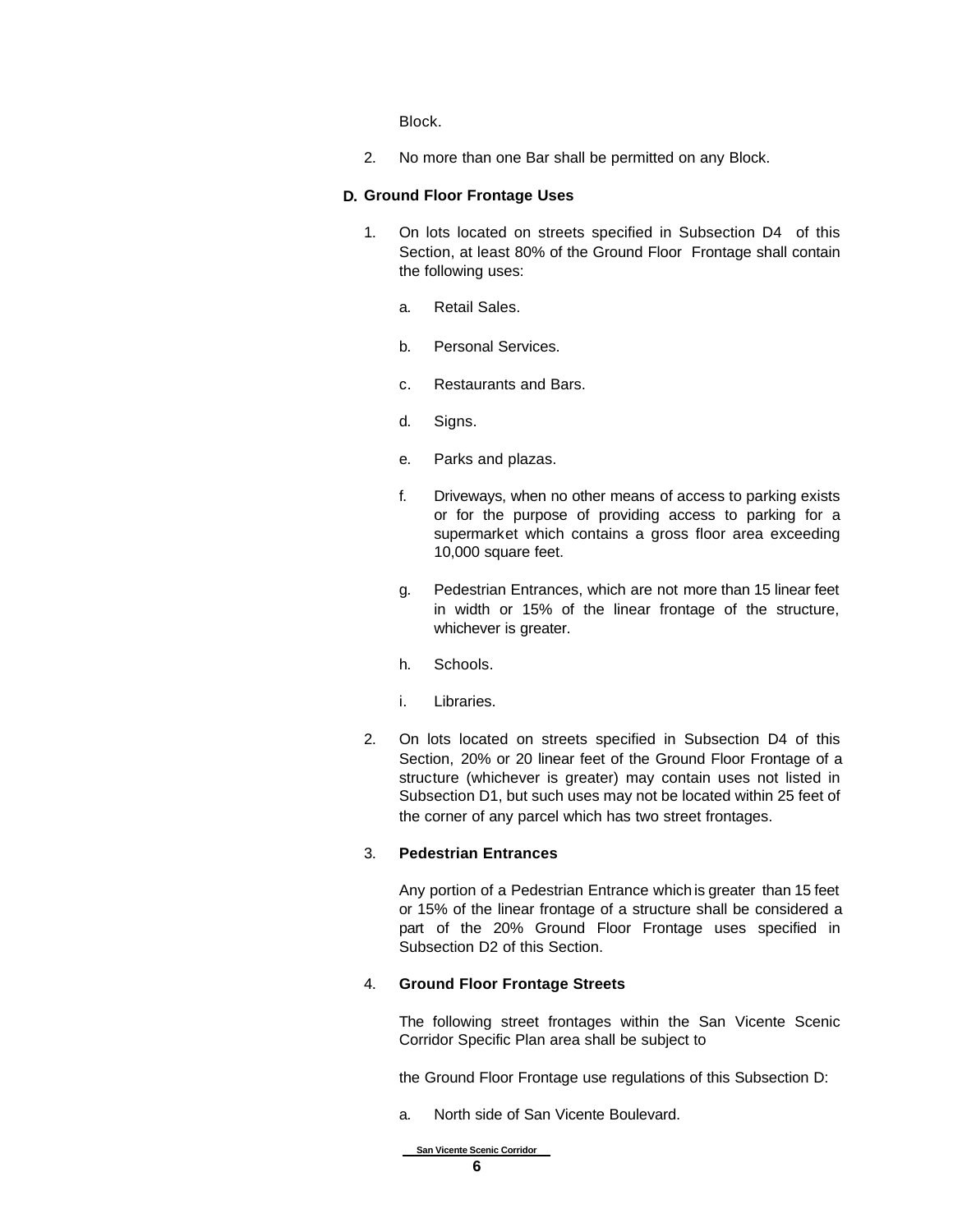Block.

2. No more than one Bar shall be permitted on any Block.

### **D. Ground Floor Frontage Uses**

- 1. On lots located on streets specified in Subsection D4 of this Section, at least 80% of the Ground Floor Frontage shall contain the following uses:
	- a. Retail Sales.
	- b. Personal Services.
	- c. Restaurants and Bars.
	- d. Signs.
	- e. Parks and plazas.
	- f. Driveways, when no other means of access to parking exists or for the purpose of providing access to parking for a supermarket which contains a gross floor area exceeding 10,000 square feet.
	- g. Pedestrian Entrances, which are not more than 15 linear feet in width or 15% of the linear frontage of the structure, whichever is greater.
	- h. Schools.
	- i. Libraries.
- 2. On lots located on streets specified in Subsection D4 of this Section, 20% or 20 linear feet of the Ground Floor Frontage of a structure (whichever is greater) may contain uses not listed in Subsection D1, but such uses may not be located within 25 feet of the corner of any parcel which has two street frontages.

### 3. **Pedestrian Entrances**

Any portion of a Pedestrian Entrance which is greater than 15 feet or 15% of the linear frontage of a structure shall be considered a part of the 20% Ground Floor Frontage uses specified in Subsection D2 of this Section.

### 4. **Ground Floor Frontage Streets**

The following street frontages within the San Vicente Scenic Corridor Specific Plan area shall be subject to

the Ground Floor Frontage use regulations of this Subsection D:

a. North side of San Vicente Boulevard.

 **San Vicente Scenic Corridor**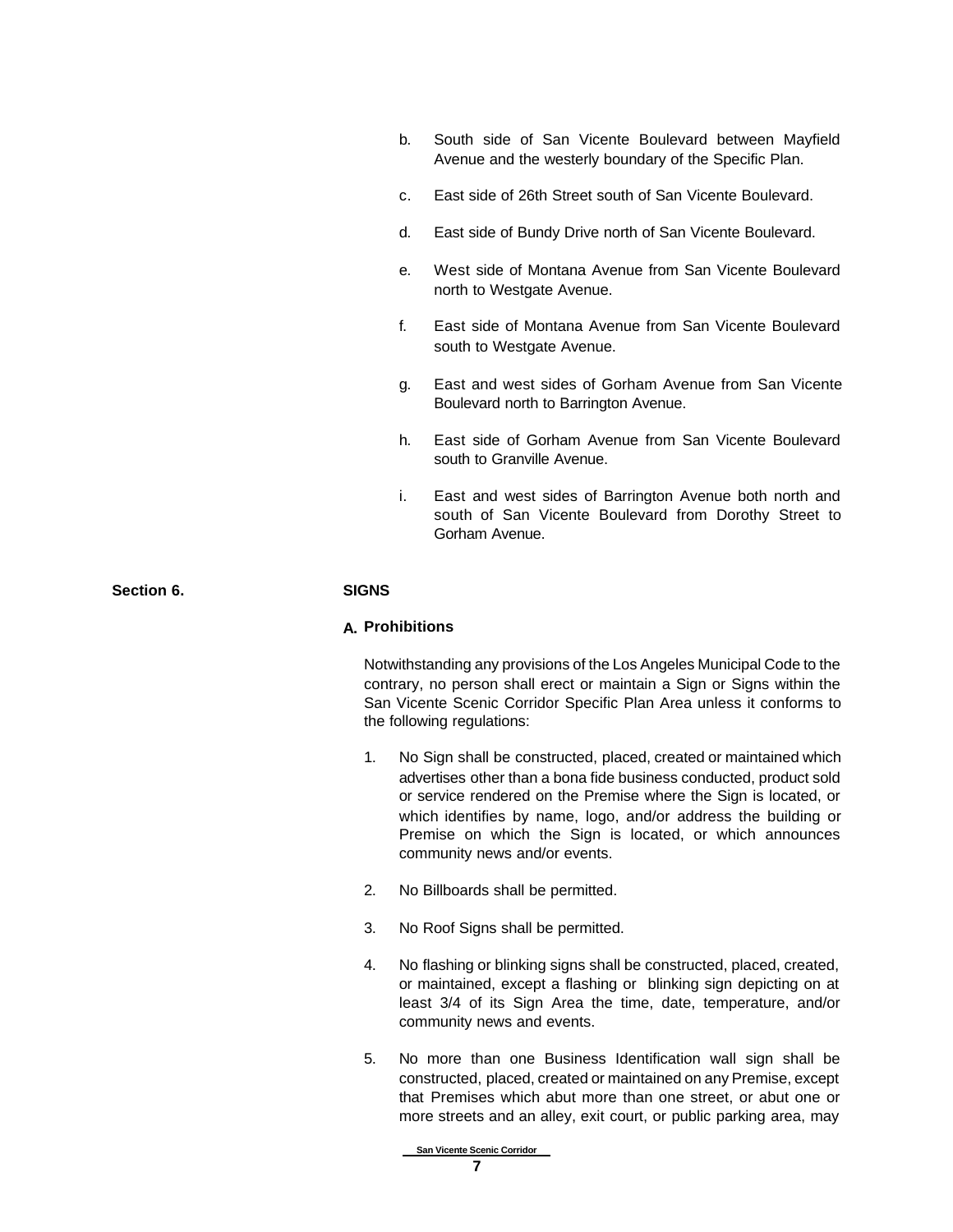- b. South side of San Vicente Boulevard between Mayfield Avenue and the westerly boundary of the Specific Plan.
- c. East side of 26th Street south of San Vicente Boulevard.
- d. East side of Bundy Drive north of San Vicente Boulevard.
- e. West side of Montana Avenue from San Vicente Boulevard north to Westgate Avenue.
- f. East side of Montana Avenue from San Vicente Boulevard south to Westgate Avenue.
- g. East and west sides of Gorham Avenue from San Vicente Boulevard north to Barrington Avenue.
- h. East side of Gorham Avenue from San Vicente Boulevard south to Granville Avenue.
- i. East and west sides of Barrington Avenue both north and south of San Vicente Boulevard from Dorothy Street to Gorham Avenue.

**Section 6. SIGNS**

### **A. Prohibitions**

Notwithstanding any provisions of the Los Angeles Municipal Code to the contrary, no person shall erect or maintain a Sign or Signs within the San Vicente Scenic Corridor Specific Plan Area unless it conforms to the following regulations:

- 1. No Sign shall be constructed, placed, created or maintained which advertises other than a bona fide business conducted, product sold or service rendered on the Premise where the Sign is located, or which identifies by name, logo, and/or address the building or Premise on which the Sign is located, or which announces community news and/or events.
- 2. No Billboards shall be permitted.
- 3. No Roof Signs shall be permitted.
- 4. No flashing or blinking signs shall be constructed, placed, created, or maintained, except a flashing or blinking sign depicting on at least 3/4 of its Sign Area the time, date, temperature, and/or community news and events.
- 5. No more than one Business Identification wall sign shall be constructed, placed, created or maintained on any Premise, except that Premises which abut more than one street, or abut one or more streets and an alley, exit court, or public parking area, may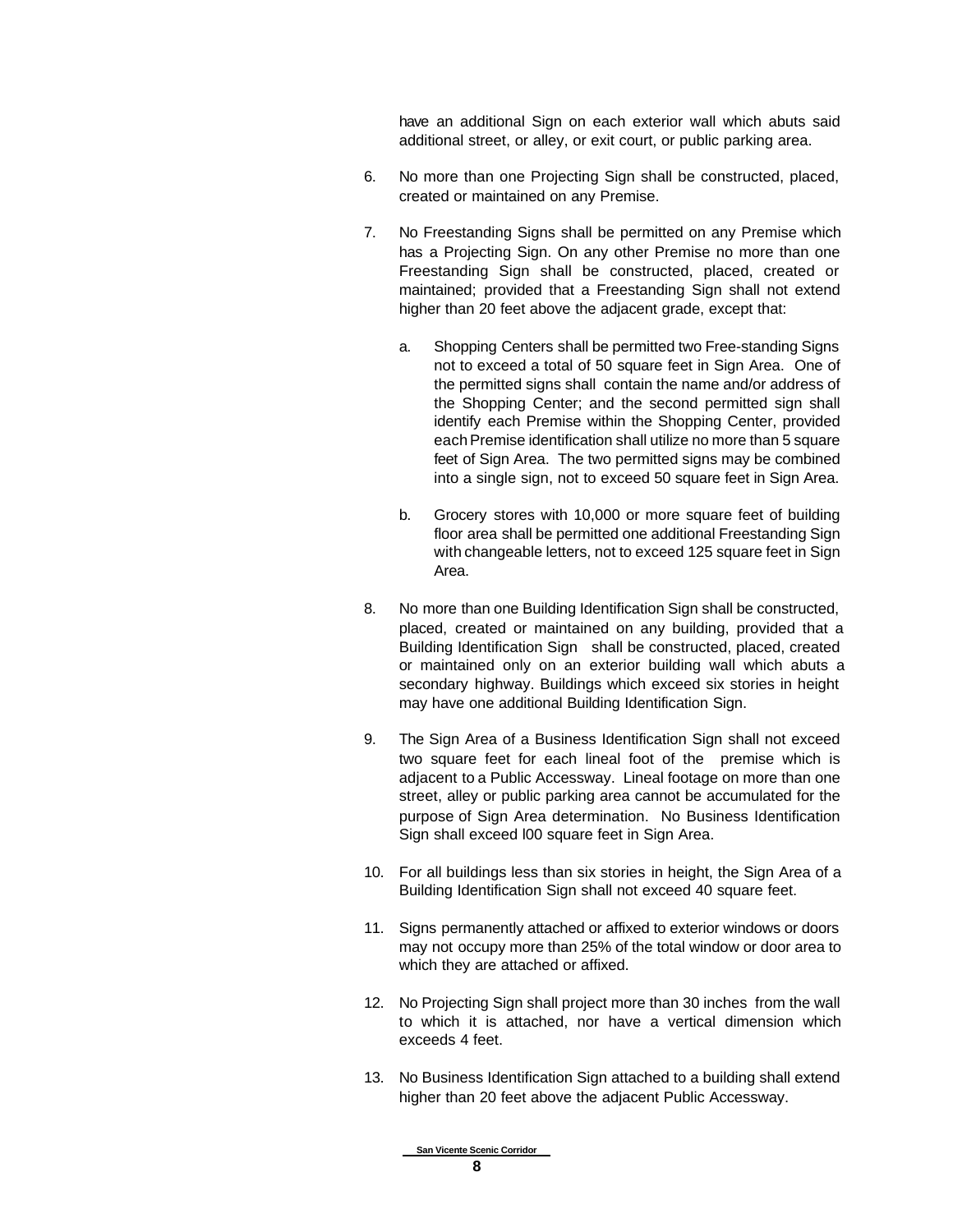have an additional Sign on each exterior wall which abuts said additional street, or alley, or exit court, or public parking area.

- 6. No more than one Projecting Sign shall be constructed, placed, created or maintained on any Premise.
- 7. No Freestanding Signs shall be permitted on any Premise which has a Projecting Sign. On any other Premise no more than one Freestanding Sign shall be constructed, placed, created or maintained; provided that a Freestanding Sign shall not extend higher than 20 feet above the adjacent grade, except that:
	- a. Shopping Centers shall be permitted two Free-standing Signs not to exceed a total of 50 square feet in Sign Area. One of the permitted signs shall contain the name and/or address of the Shopping Center; and the second permitted sign shall identify each Premise within the Shopping Center, provided each Premise identification shall utilize no more than 5 square feet of Sign Area. The two permitted signs may be combined into a single sign, not to exceed 50 square feet in Sign Area.
	- b. Grocery stores with 10,000 or more square feet of building floor area shall be permitted one additional Freestanding Sign with changeable letters, not to exceed 125 square feet in Sign Area.
- 8. No more than one Building Identification Sign shall be constructed, placed, created or maintained on any building, provided that a Building Identification Sign shall be constructed, placed, created or maintained only on an exterior building wall which abuts a secondary highway. Buildings which exceed six stories in height may have one additional Building Identification Sign.
- 9. The Sign Area of a Business Identification Sign shall not exceed two square feet for each lineal foot of the premise which is adjacent to a Public Accessway. Lineal footage on more than one street, alley or public parking area cannot be accumulated for the purpose of Sign Area determination. No Business Identification Sign shall exceed l00 square feet in Sign Area.
- 10. For all buildings less than six stories in height, the Sign Area of a Building Identification Sign shall not exceed 40 square feet.
- 11. Signs permanently attached or affixed to exterior windows or doors may not occupy more than 25% of the total window or door area to which they are attached or affixed.
- 12. No Projecting Sign shall project more than 30 inches from the wall to which it is attached, nor have a vertical dimension which exceeds 4 feet.
- 13. No Business Identification Sign attached to a building shall extend higher than 20 feet above the adjacent Public Accessway.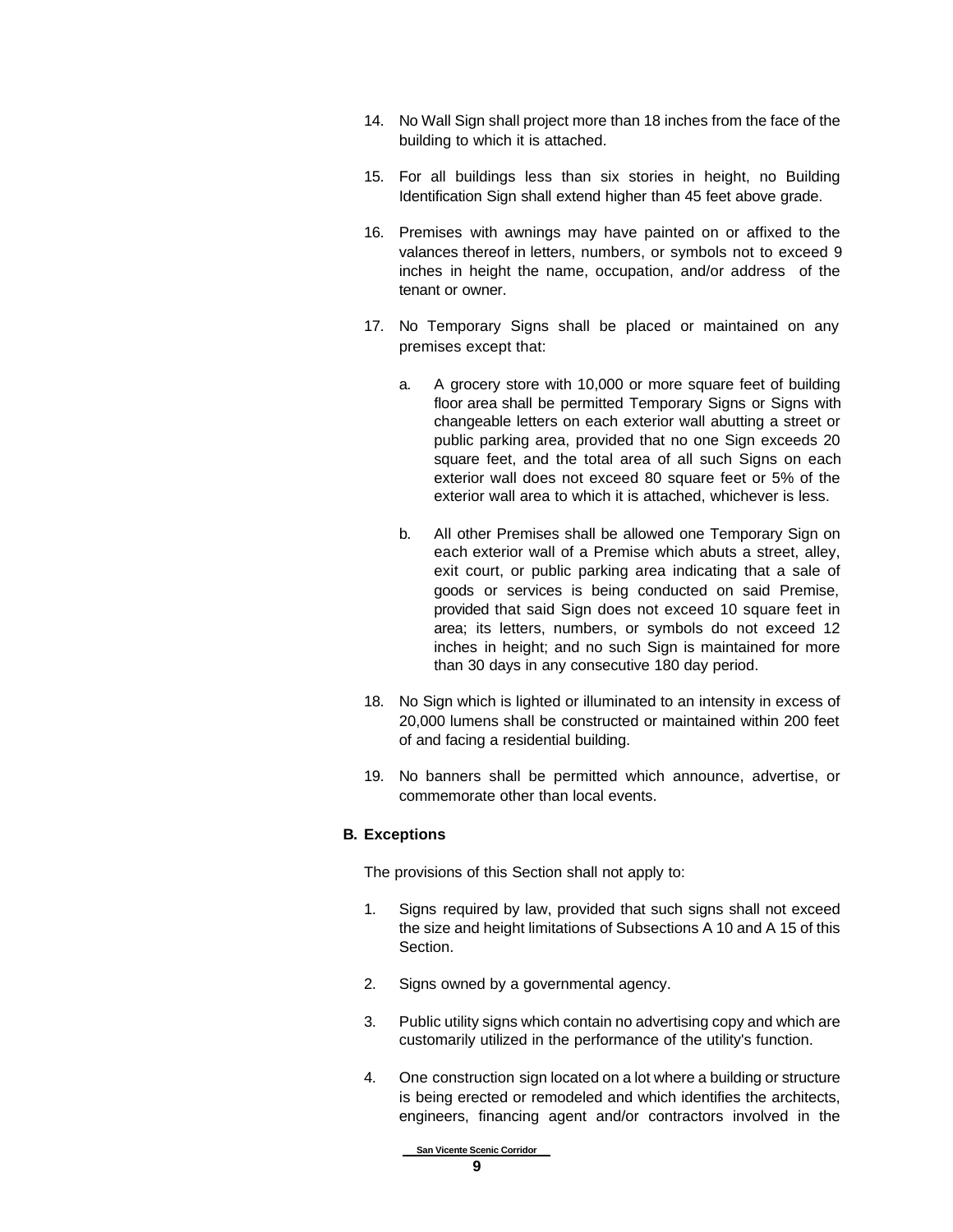- 14. No Wall Sign shall project more than 18 inches from the face of the building to which it is attached.
- 15. For all buildings less than six stories in height, no Building Identification Sign shall extend higher than 45 feet above grade.
- 16. Premises with awnings may have painted on or affixed to the valances thereof in letters, numbers, or symbols not to exceed 9 inches in height the name, occupation, and/or address of the tenant or owner.
- 17. No Temporary Signs shall be placed or maintained on any premises except that:
	- a. A grocery store with 10,000 or more square feet of building floor area shall be permitted Temporary Signs or Signs with changeable letters on each exterior wall abutting a street or public parking area, provided that no one Sign exceeds 20 square feet, and the total area of all such Signs on each exterior wall does not exceed 80 square feet or 5% of the exterior wall area to which it is attached, whichever is less.
	- b. All other Premises shall be allowed one Temporary Sign on each exterior wall of a Premise which abuts a street, alley, exit court, or public parking area indicating that a sale of goods or services is being conducted on said Premise, provided that said Sign does not exceed 10 square feet in area; its letters, numbers, or symbols do not exceed 12 inches in height; and no such Sign is maintained for more than 30 days in any consecutive 180 day period.
- 18. No Sign which is lighted or illuminated to an intensity in excess of 20,000 lumens shall be constructed or maintained within 200 feet of and facing a residential building.
- 19. No banners shall be permitted which announce, advertise, or commemorate other than local events.

### **B. Exceptions**

The provisions of this Section shall not apply to:

- 1. Signs required by law, provided that such signs shall not exceed the size and height limitations of Subsections A 10 and A 15 of this Section.
- 2. Signs owned by a governmental agency.
- 3. Public utility signs which contain no advertising copy and which are customarily utilized in the performance of the utility's function.
- 4. One construction sign located on a lot where a building or structure is being erected or remodeled and which identifies the architects, engineers, financing agent and/or contractors involved in the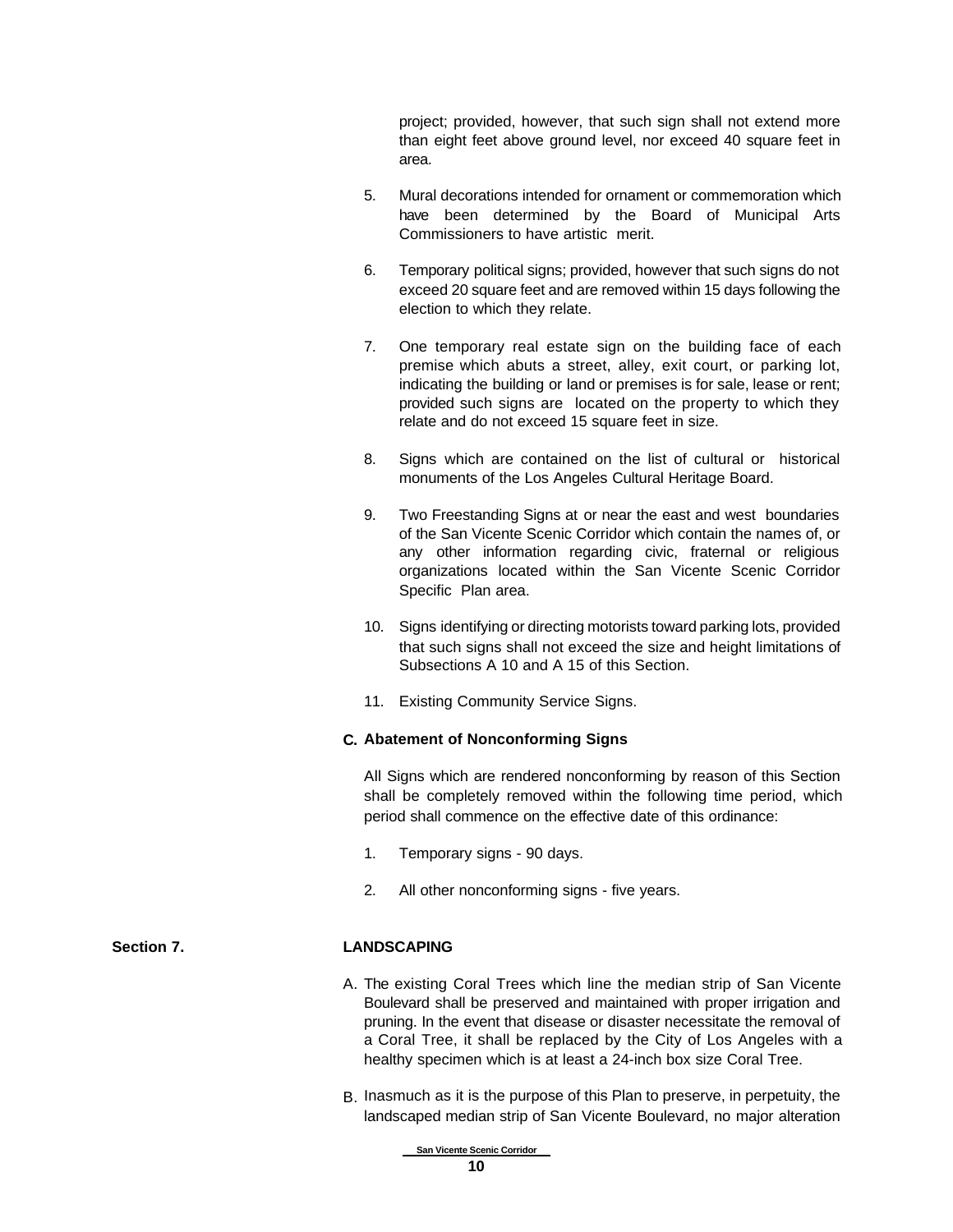project; provided, however, that such sign shall not extend more than eight feet above ground level, nor exceed 40 square feet in area.

- 5. Mural decorations intended for ornament or commemoration which have been determined by the Board of Municipal Arts Commissioners to have artistic merit.
- 6. Temporary political signs; provided, however that such signs do not exceed 20 square feet and are removed within 15 days following the election to which they relate.
- 7. One temporary real estate sign on the building face of each premise which abuts a street, alley, exit court, or parking lot, indicating the building or land or premises is for sale, lease or rent; provided such signs are located on the property to which they relate and do not exceed 15 square feet in size.
- 8. Signs which are contained on the list of cultural or historical monuments of the Los Angeles Cultural Heritage Board.
- 9. Two Freestanding Signs at or near the east and west boundaries of the San Vicente Scenic Corridor which contain the names of, or any other information regarding civic, fraternal or religious organizations located within the San Vicente Scenic Corridor Specific Plan area.
- 10. Signs identifying or directing motorists toward parking lots, provided that such signs shall not exceed the size and height limitations of Subsections A 10 and A 15 of this Section.
- 11. Existing Community Service Signs.

### **C. Abatement of Nonconforming Signs**

All Signs which are rendered nonconforming by reason of this Section shall be completely removed within the following time period, which period shall commence on the effective date of this ordinance:

- 1. Temporary signs 90 days.
- 2. All other nonconforming signs five years.

### **Section 7. LANDSCAPING**

- A. The existing Coral Trees which line the median strip of San Vicente Boulevard shall be preserved and maintained with proper irrigation and pruning. In the event that disease or disaster necessitate the removal of a Coral Tree, it shall be replaced by the City of Los Angeles with a healthy specimen which is at least a 24-inch box size Coral Tree.
- B. Inasmuch as it is the purpose of this Plan to preserve, in perpetuity, the landscaped median strip of San Vicente Boulevard, no major alteration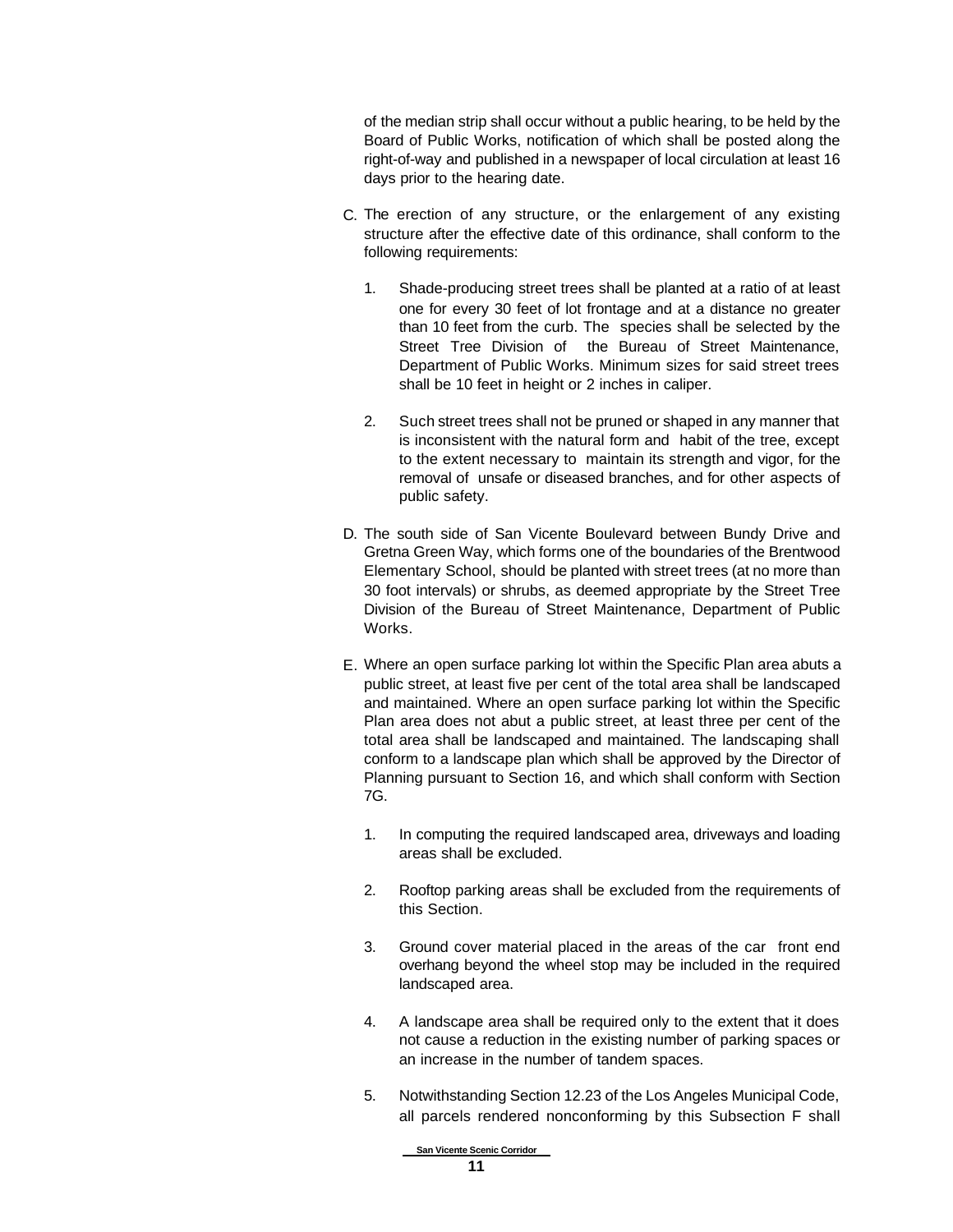of the median strip shall occur without a public hearing, to be held by the Board of Public Works, notification of which shall be posted along the right-of-way and published in a newspaper of local circulation at least 16 days prior to the hearing date.

- C. The erection of any structure, or the enlargement of any existing structure after the effective date of this ordinance, shall conform to the following requirements:
	- 1. Shade-producing street trees shall be planted at a ratio of at least one for every 30 feet of lot frontage and at a distance no greater than 10 feet from the curb. The species shall be selected by the Street Tree Division of the Bureau of Street Maintenance, Department of Public Works. Minimum sizes for said street trees shall be 10 feet in height or 2 inches in caliper.
	- 2. Such street trees shall not be pruned or shaped in any manner that is inconsistent with the natural form and habit of the tree, except to the extent necessary to maintain its strength and vigor, for the removal of unsafe or diseased branches, and for other aspects of public safety.
- D. The south side of San Vicente Boulevard between Bundy Drive and Gretna Green Way, which forms one of the boundaries of the Brentwood Elementary School, should be planted with street trees (at no more than 30 foot intervals) or shrubs, as deemed appropriate by the Street Tree Division of the Bureau of Street Maintenance, Department of Public Works.
- E. Where an open surface parking lot within the Specific Plan area abuts a public street, at least five per cent of the total area shall be landscaped and maintained. Where an open surface parking lot within the Specific Plan area does not abut a public street, at least three per cent of the total area shall be landscaped and maintained. The landscaping shall conform to a landscape plan which shall be approved by the Director of Planning pursuant to Section 16, and which shall conform with Section 7G.
	- 1. In computing the required landscaped area, driveways and loading areas shall be excluded.
	- 2. Rooftop parking areas shall be excluded from the requirements of this Section.
	- 3. Ground cover material placed in the areas of the car front end overhang beyond the wheel stop may be included in the required landscaped area.
	- 4. A landscape area shall be required only to the extent that it does not cause a reduction in the existing number of parking spaces or an increase in the number of tandem spaces.
	- 5. Notwithstanding Section 12.23 of the Los Angeles Municipal Code, all parcels rendered nonconforming by this Subsection F shall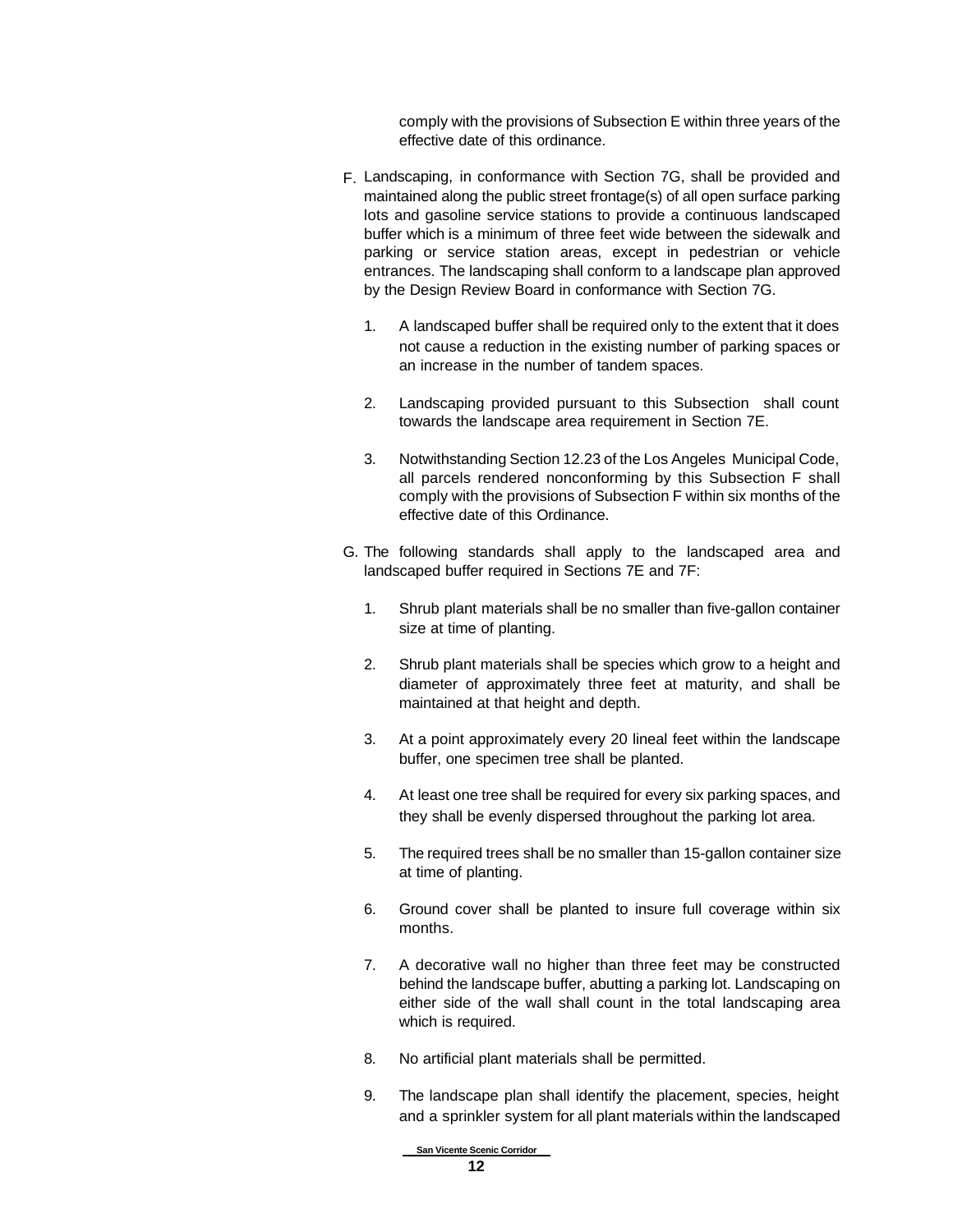comply with the provisions of Subsection E within three years of the effective date of this ordinance.

- F. Landscaping, in conformance with Section 7G, shall be provided and maintained along the public street frontage(s) of all open surface parking lots and gasoline service stations to provide a continuous landscaped buffer which is a minimum of three feet wide between the sidewalk and parking or service station areas, except in pedestrian or vehicle entrances. The landscaping shall conform to a landscape plan approved by the Design Review Board in conformance with Section 7G.
	- 1. A landscaped buffer shall be required only to the extent that it does not cause a reduction in the existing number of parking spaces or an increase in the number of tandem spaces.
	- 2. Landscaping provided pursuant to this Subsection shall count towards the landscape area requirement in Section 7E.
	- 3. Notwithstanding Section 12.23 of the Los Angeles Municipal Code, all parcels rendered nonconforming by this Subsection F shall comply with the provisions of Subsection F within six months of the effective date of this Ordinance.
- G. The following standards shall apply to the landscaped area and landscaped buffer required in Sections 7E and 7F:
	- 1. Shrub plant materials shall be no smaller than five-gallon container size at time of planting.
	- 2. Shrub plant materials shall be species which grow to a height and diameter of approximately three feet at maturity, and shall be maintained at that height and depth.
	- 3. At a point approximately every 20 lineal feet within the landscape buffer, one specimen tree shall be planted.
	- 4. At least one tree shall be required for every six parking spaces, and they shall be evenly dispersed throughout the parking lot area.
	- 5. The required trees shall be no smaller than 15-gallon container size at time of planting.
	- 6. Ground cover shall be planted to insure full coverage within six months.
	- 7. A decorative wall no higher than three feet may be constructed behind the landscape buffer, abutting a parking lot. Landscaping on either side of the wall shall count in the total landscaping area which is required.
	- 8. No artificial plant materials shall be permitted.
	- 9. The landscape plan shall identify the placement, species, height and a sprinkler system for all plant materials within the landscaped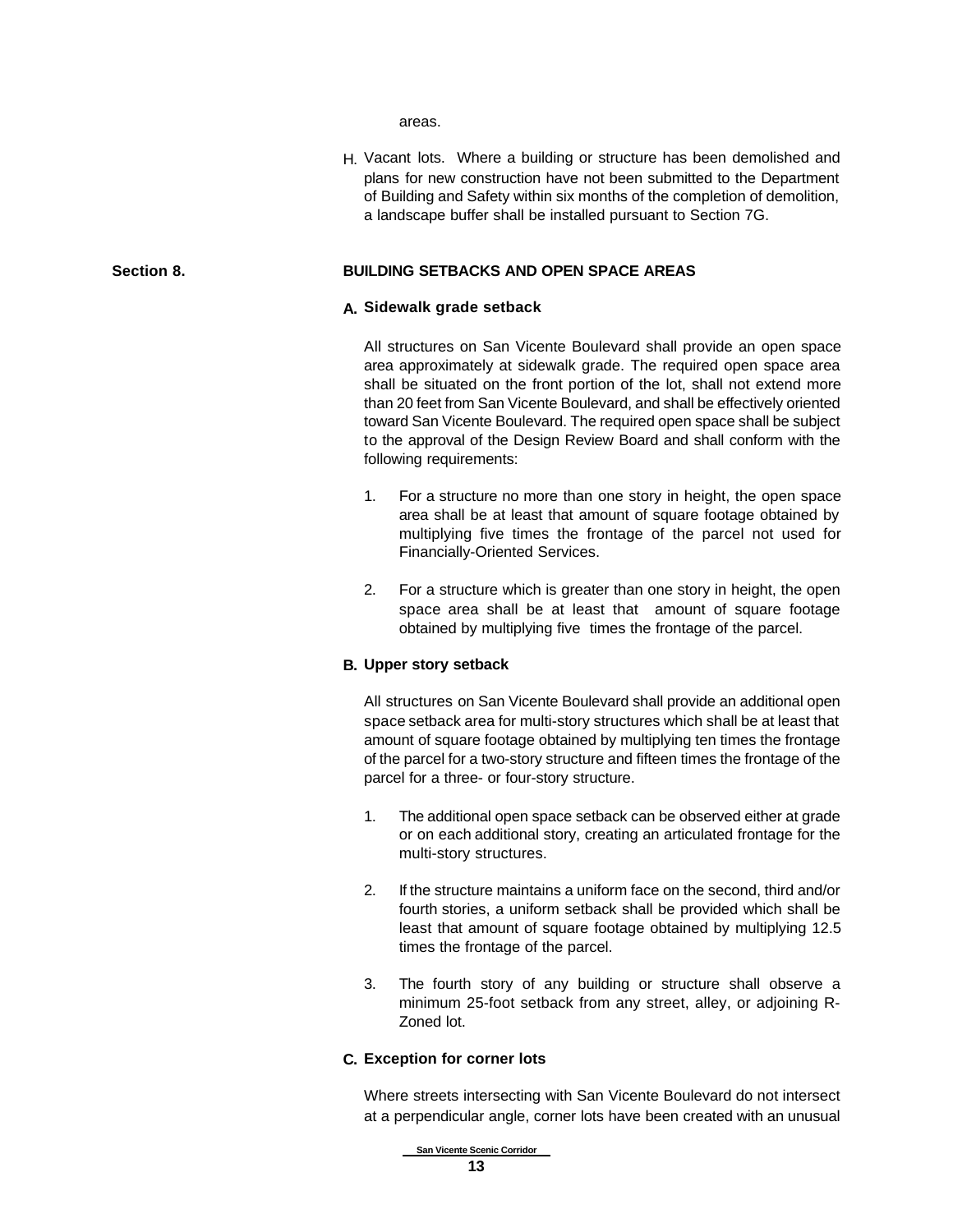areas.

H. Vacant lots. Where a building or structure has been demolished and plans for new construction have not been submitted to the Department of Building and Safety within six months of the completion of demolition, a landscape buffer shall be installed pursuant to Section 7G.

### **Section 8. BUILDING SETBACKS AND OPEN SPACE AREAS**

### **A. Sidewalk grade setback**

All structures on San Vicente Boulevard shall provide an open space area approximately at sidewalk grade. The required open space area shall be situated on the front portion of the lot, shall not extend more than 20 feet from San Vicente Boulevard, and shall be effectively oriented toward San Vicente Boulevard. The required open space shall be subject to the approval of the Design Review Board and shall conform with the following requirements:

- 1. For a structure no more than one story in height, the open space area shall be at least that amount of square footage obtained by multiplying five times the frontage of the parcel not used for Financially-Oriented Services.
- 2. For a structure which is greater than one story in height, the open space area shall be at least that amount of square footage obtained by multiplying five times the frontage of the parcel.

### **B. Upper story setback**

All structures on San Vicente Boulevard shall provide an additional open space setback area for multi-story structures which shall be at least that amount of square footage obtained by multiplying ten times the frontage of the parcel for a two-story structure and fifteen times the frontage of the parcel for a three- or four-story structure.

- 1. The additional open space setback can be observed either at grade or on each additional story, creating an articulated frontage for the multi-story structures.
- 2. If the structure maintains a uniform face on the second, third and/or fourth stories, a uniform setback shall be provided which shall be least that amount of square footage obtained by multiplying 12.5 times the frontage of the parcel.
- 3. The fourth story of any building or structure shall observe a minimum 25-foot setback from any street, alley, or adjoining R-Zoned lot.

### **C. Exception for corner lots**

Where streets intersecting with San Vicente Boulevard do not intersect at a perpendicular angle, corner lots have been created with an unusual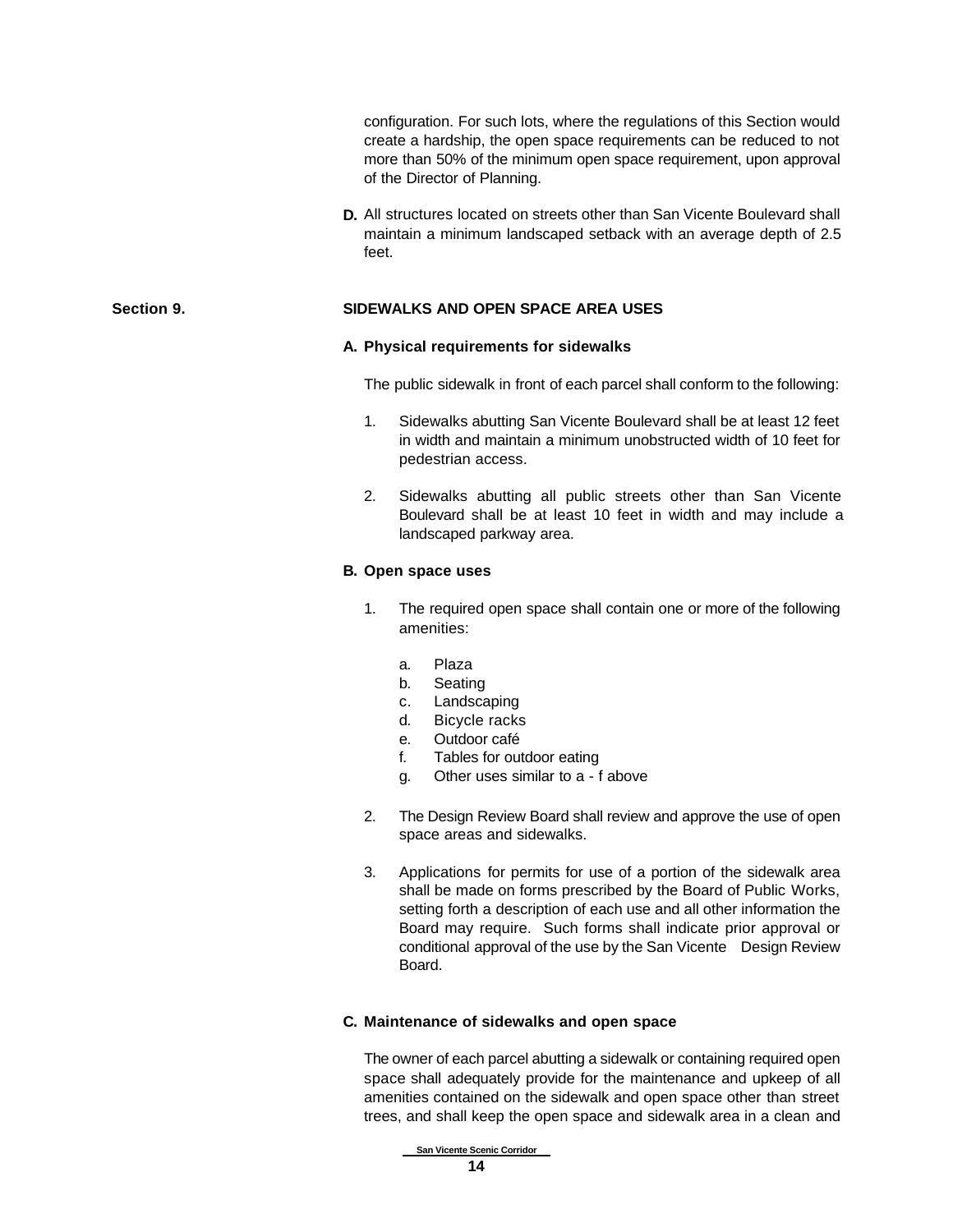configuration. For such lots, where the regulations of this Section would create a hardship, the open space requirements can be reduced to not more than 50% of the minimum open space requirement, upon approval of the Director of Planning.

**D.** All structures located on streets other than San Vicente Boulevard shall maintain a minimum landscaped setback with an average depth of 2.5 feet.

### **Section 9. SIDEWALKS AND OPEN SPACE AREA USES**

### **A. Physical requirements for sidewalks**

The public sidewalk in front of each parcel shall conform to the following:

- 1. Sidewalks abutting San Vicente Boulevard shall be at least 12 feet in width and maintain a minimum unobstructed width of 10 feet for pedestrian access.
- 2. Sidewalks abutting all public streets other than San Vicente Boulevard shall be at least 10 feet in width and may include a landscaped parkway area.

### **B. Open space uses**

- 1. The required open space shall contain one or more of the following amenities:
	- a. Plaza
	- b. Seating
	- c. Landscaping
	- d. Bicycle racks
	- e. Outdoor café
	- f. Tables for outdoor eating
	- g. Other uses similar to a f above
- 2. The Design Review Board shall review and approve the use of open space areas and sidewalks.
- 3. Applications for permits for use of a portion of the sidewalk area shall be made on forms prescribed by the Board of Public Works, setting forth a description of each use and all other information the Board may require. Such forms shall indicate prior approval or conditional approval of the use by the San Vicente Design Review Board.

### **C. Maintenance of sidewalks and open space**

The owner of each parcel abutting a sidewalk or containing required open space shall adequately provide for the maintenance and upkeep of all amenities contained on the sidewalk and open space other than street trees, and shall keep the open space and sidewalk area in a clean and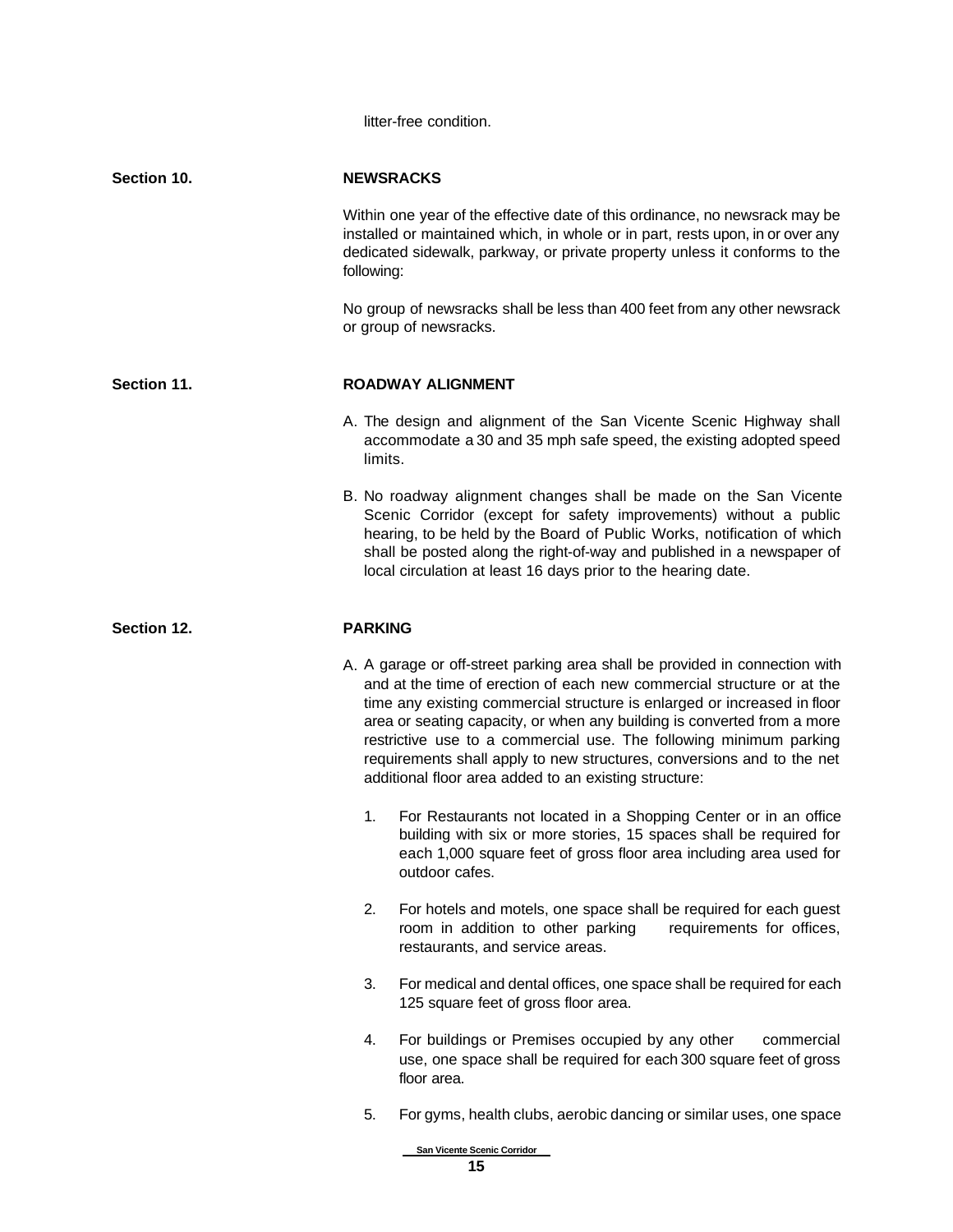litter-free condition.

| Section 10. | <b>NEWSRACKS</b>                                                                                                                                                                                                                                                                                                                                                                                                                                                                                                      |  |  |
|-------------|-----------------------------------------------------------------------------------------------------------------------------------------------------------------------------------------------------------------------------------------------------------------------------------------------------------------------------------------------------------------------------------------------------------------------------------------------------------------------------------------------------------------------|--|--|
|             | Within one year of the effective date of this ordinance, no newsrack may be<br>installed or maintained which, in whole or in part, rests upon, in or over any<br>dedicated sidewalk, parkway, or private property unless it conforms to the<br>following:                                                                                                                                                                                                                                                             |  |  |
|             | No group of newsracks shall be less than 400 feet from any other newsrack<br>or group of newsracks.                                                                                                                                                                                                                                                                                                                                                                                                                   |  |  |
| Section 11. | <b>ROADWAY ALIGNMENT</b>                                                                                                                                                                                                                                                                                                                                                                                                                                                                                              |  |  |
|             | A. The design and alignment of the San Vicente Scenic Highway shall<br>accommodate a 30 and 35 mph safe speed, the existing adopted speed<br>limits.                                                                                                                                                                                                                                                                                                                                                                  |  |  |
|             | B. No roadway alignment changes shall be made on the San Vicente<br>Scenic Corridor (except for safety improvements) without a public<br>hearing, to be held by the Board of Public Works, notification of which<br>shall be posted along the right-of-way and published in a newspaper of<br>local circulation at least 16 days prior to the hearing date.                                                                                                                                                           |  |  |
| Section 12. | <b>PARKING</b>                                                                                                                                                                                                                                                                                                                                                                                                                                                                                                        |  |  |
|             | A. A garage or off-street parking area shall be provided in connection with<br>and at the time of erection of each new commercial structure or at the<br>time any existing commercial structure is enlarged or increased in floor<br>area or seating capacity, or when any building is converted from a more<br>restrictive use to a commercial use. The following minimum parking<br>requirements shall apply to new structures, conversions and to the net<br>additional floor area added to an existing structure: |  |  |
|             | 1.<br>For Restaurants not located in a Shopping Center or in an office<br>building with six or more stories, 15 spaces shall be required for<br>each 1,000 square feet of gross floor area including area used for<br>outdoor cafes.                                                                                                                                                                                                                                                                                  |  |  |
|             | 2.<br>For hotels and motels, one space shall be required for each guest<br>room in addition to other parking<br>requirements for offices,<br>restaurants, and service areas.                                                                                                                                                                                                                                                                                                                                          |  |  |
|             | 3.<br>For medical and dental offices, one space shall be required for each<br>125 square feet of gross floor area.                                                                                                                                                                                                                                                                                                                                                                                                    |  |  |
|             | For buildings or Premises occupied by any other<br>4.<br>commercial<br>use, one space shall be required for each 300 square feet of gross<br>floor area.                                                                                                                                                                                                                                                                                                                                                              |  |  |
|             | 5.<br>For gyms, health clubs, aerobic dancing or similar uses, one space                                                                                                                                                                                                                                                                                                                                                                                                                                              |  |  |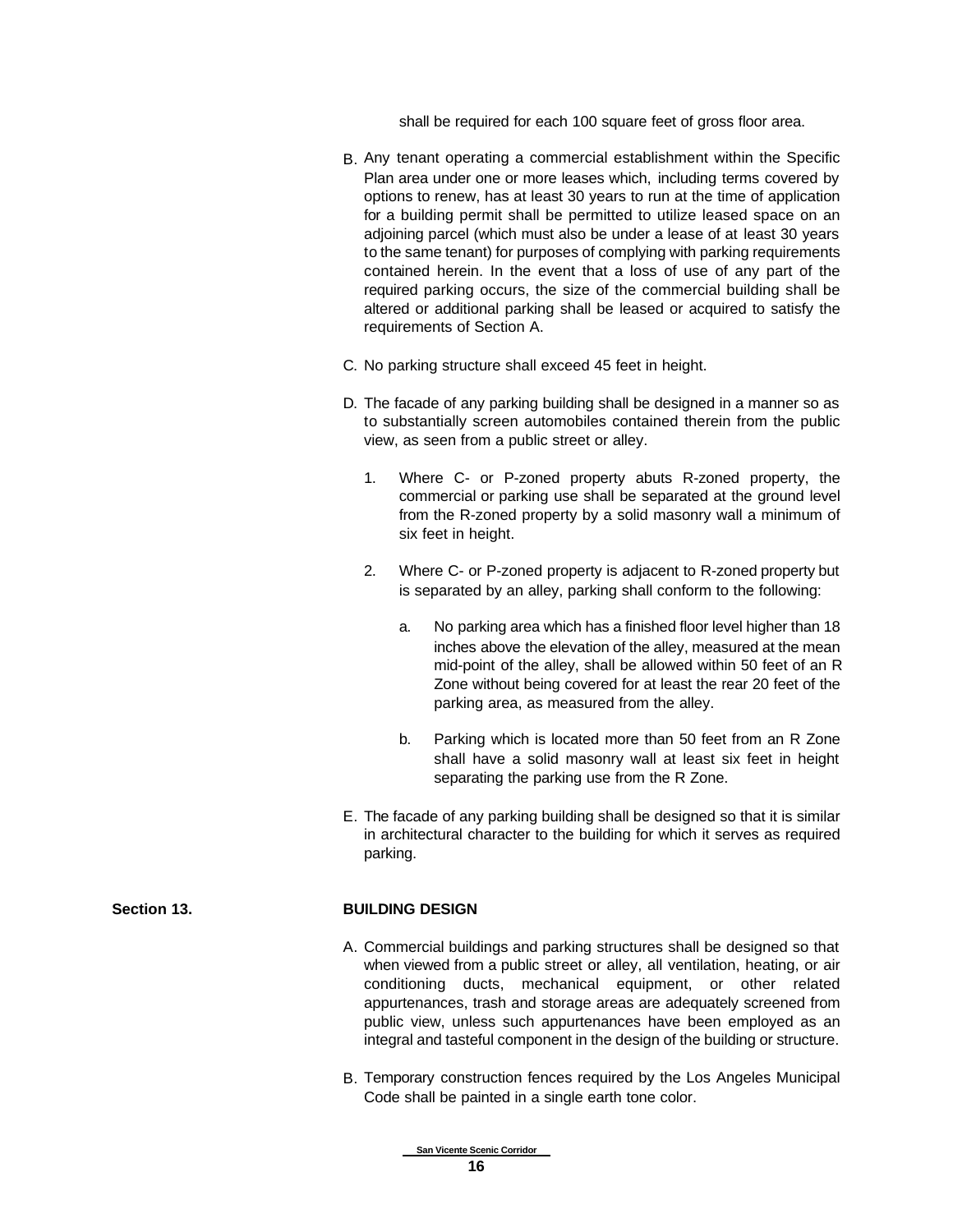shall be required for each 100 square feet of gross floor area.

- B. Any tenant operating a commercial establishment within the Specific Plan area under one or more leases which, including terms covered by options to renew, has at least 30 years to run at the time of application for a building permit shall be permitted to utilize leased space on an adjoining parcel (which must also be under a lease of at least 30 years to the same tenant) for purposes of complying with parking requirements contained herein. In the event that a loss of use of any part of the required parking occurs, the size of the commercial building shall be altered or additional parking shall be leased or acquired to satisfy the requirements of Section A.
- C. No parking structure shall exceed 45 feet in height.
- D. The facade of any parking building shall be designed in a manner so as to substantially screen automobiles contained therein from the public view, as seen from a public street or alley.
	- 1. Where C- or P-zoned property abuts R-zoned property, the commercial or parking use shall be separated at the ground level from the R-zoned property by a solid masonry wall a minimum of six feet in height.
	- 2. Where C- or P-zoned property is adjacent to R-zoned property but is separated by an alley, parking shall conform to the following:
		- a. No parking area which has a finished floor level higher than 18 inches above the elevation of the alley, measured at the mean mid-point of the alley, shall be allowed within 50 feet of an R Zone without being covered for at least the rear 20 feet of the parking area, as measured from the alley.
		- b. Parking which is located more than 50 feet from an R Zone shall have a solid masonry wall at least six feet in height separating the parking use from the R Zone.
- E. The facade of any parking building shall be designed so that it is similar in architectural character to the building for which it serves as required parking.

### **Section 13. BUILDING DESIGN**

- A. Commercial buildings and parking structures shall be designed so that when viewed from a public street or alley, all ventilation, heating, or air conditioning ducts, mechanical equipment, or other related appurtenances, trash and storage areas are adequately screened from public view, unless such appurtenances have been employed as an integral and tasteful component in the design of the building or structure.
- B. Temporary construction fences required by the Los Angeles Municipal Code shall be painted in a single earth tone color.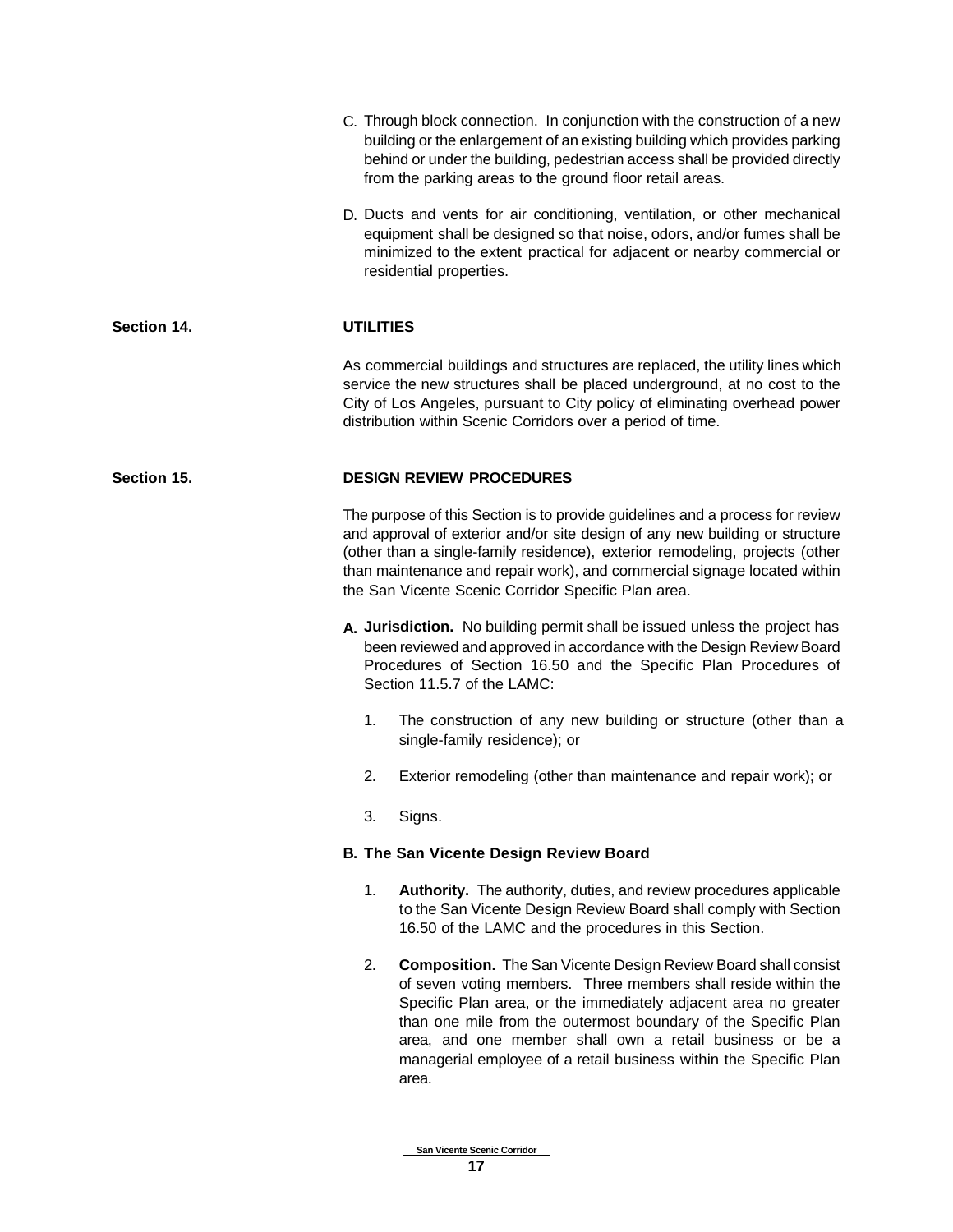|             |                                               | C. Through block connection. In conjunction with the construction of a new<br>building or the enlargement of an existing building which provides parking<br>behind or under the building, pedestrian access shall be provided directly<br>from the parking areas to the ground floor retail areas.                                                                                                                     |  |  |
|-------------|-----------------------------------------------|------------------------------------------------------------------------------------------------------------------------------------------------------------------------------------------------------------------------------------------------------------------------------------------------------------------------------------------------------------------------------------------------------------------------|--|--|
|             |                                               | D. Ducts and vents for air conditioning, ventilation, or other mechanical<br>equipment shall be designed so that noise, odors, and/or fumes shall be<br>minimized to the extent practical for adjacent or nearby commercial or<br>residential properties.                                                                                                                                                              |  |  |
| Section 14. | <b>UTILITIES</b>                              |                                                                                                                                                                                                                                                                                                                                                                                                                        |  |  |
|             |                                               | As commercial buildings and structures are replaced, the utility lines which<br>service the new structures shall be placed underground, at no cost to the<br>City of Los Angeles, pursuant to City policy of eliminating overhead power<br>distribution within Scenic Corridors over a period of time.                                                                                                                 |  |  |
| Section 15. |                                               | <b>DESIGN REVIEW PROCEDURES</b>                                                                                                                                                                                                                                                                                                                                                                                        |  |  |
|             |                                               | The purpose of this Section is to provide guidelines and a process for review<br>and approval of exterior and/or site design of any new building or structure<br>(other than a single-family residence), exterior remodeling, projects (other<br>than maintenance and repair work), and commercial signage located within<br>the San Vicente Scenic Corridor Specific Plan area.                                       |  |  |
|             |                                               | A. Jurisdiction. No building permit shall be issued unless the project has<br>been reviewed and approved in accordance with the Design Review Board<br>Procedures of Section 16.50 and the Specific Plan Procedures of<br>Section 11.5.7 of the LAMC:                                                                                                                                                                  |  |  |
|             | 1.                                            | The construction of any new building or structure (other than a<br>single-family residence); or                                                                                                                                                                                                                                                                                                                        |  |  |
|             | 2.                                            | Exterior remodeling (other than maintenance and repair work); or                                                                                                                                                                                                                                                                                                                                                       |  |  |
|             | 3.                                            | Signs.                                                                                                                                                                                                                                                                                                                                                                                                                 |  |  |
|             | <b>B. The San Vicente Design Review Board</b> |                                                                                                                                                                                                                                                                                                                                                                                                                        |  |  |
|             | 1.                                            | Authority. The authority, duties, and review procedures applicable<br>to the San Vicente Design Review Board shall comply with Section<br>16.50 of the LAMC and the procedures in this Section.                                                                                                                                                                                                                        |  |  |
|             | 2.                                            | <b>Composition.</b> The San Vicente Design Review Board shall consist<br>of seven voting members. Three members shall reside within the<br>Specific Plan area, or the immediately adjacent area no greater<br>than one mile from the outermost boundary of the Specific Plan<br>area, and one member shall own a retail business or be a<br>managerial employee of a retail business within the Specific Plan<br>area. |  |  |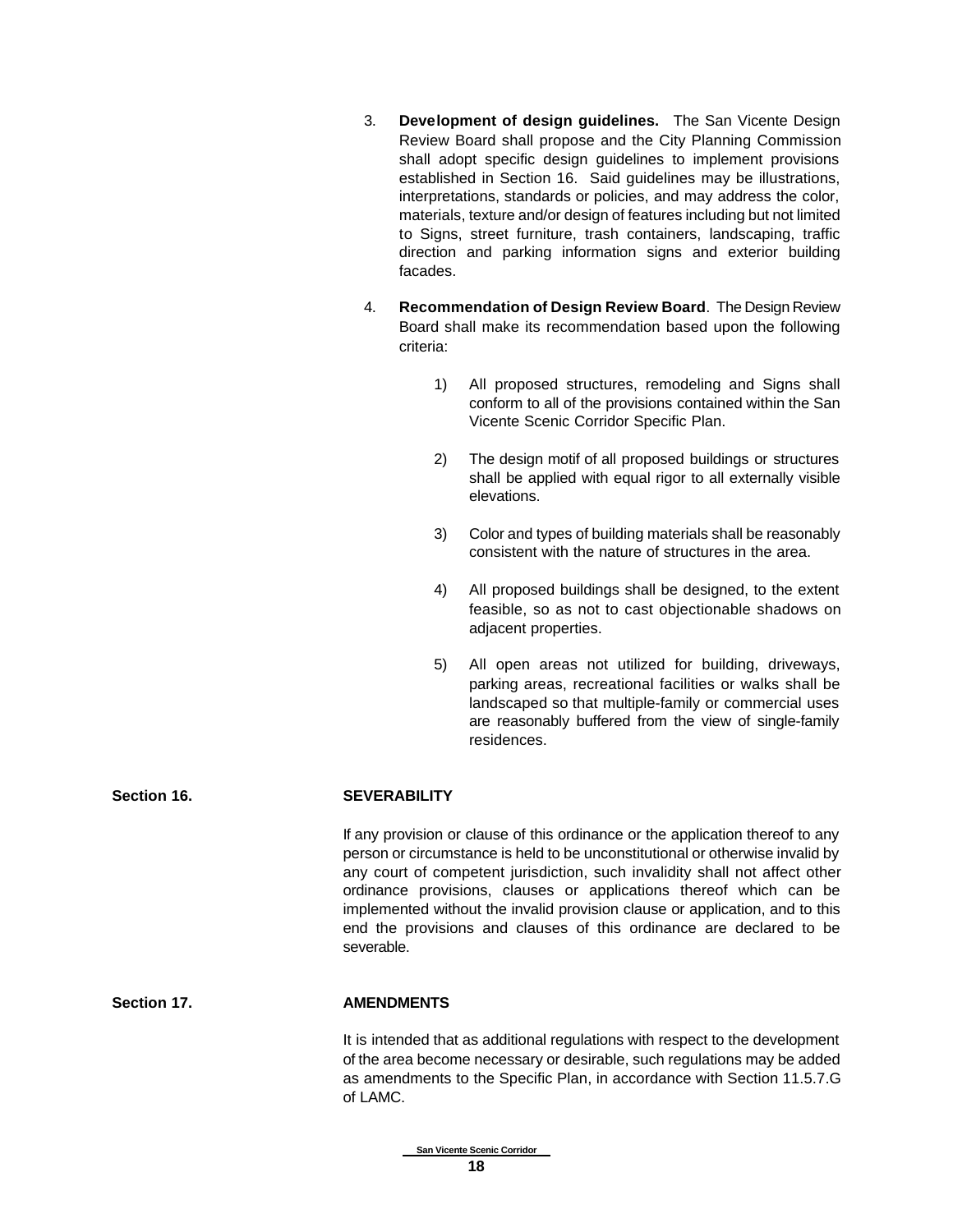- 3. **Development of design guidelines.** The San Vicente Design Review Board shall propose and the City Planning Commission shall adopt specific design guidelines to implement provisions established in Section 16. Said guidelines may be illustrations, interpretations, standards or policies, and may address the color, materials, texture and/or design of features including but not limited to Signs, street furniture, trash containers, landscaping, traffic direction and parking information signs and exterior building facades.
- 4. **Recommendation of Design Review Board**. The Design Review Board shall make its recommendation based upon the following criteria:
	- 1) All proposed structures, remodeling and Signs shall conform to all of the provisions contained within the San Vicente Scenic Corridor Specific Plan.
	- 2) The design motif of all proposed buildings or structures shall be applied with equal rigor to all externally visible elevations.
	- 3) Color and types of building materials shall be reasonably consistent with the nature of structures in the area.
	- 4) All proposed buildings shall be designed, to the extent feasible, so as not to cast objectionable shadows on adjacent properties.
	- 5) All open areas not utilized for building, driveways, parking areas, recreational facilities or walks shall be landscaped so that multiple-family or commercial uses are reasonably buffered from the view of single-family residences.

**Section 16. SEVERABILITY**

If any provision or clause of this ordinance or the application thereof to any person or circumstance is held to be unconstitutional or otherwise invalid by any court of competent jurisdiction, such invalidity shall not affect other ordinance provisions, clauses or applications thereof which can be implemented without the invalid provision clause or application, and to this end the provisions and clauses of this ordinance are declared to be severable.

### **Section 17. AMENDMENTS**

It is intended that as additional regulations with respect to the development of the area become necessary or desirable, such regulations may be added as amendments to the Specific Plan, in accordance with Section 11.5.7.G of LAMC.